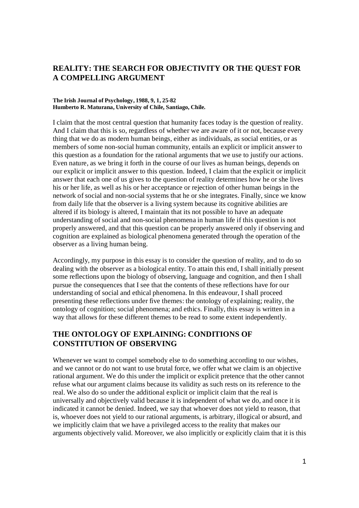# **REALITY: THE SEARCH FOR OBJECTIVITY OR THE QUEST FOR A COMPELLING ARGUMENT**

#### **The Irish Journal of Psychology, 1988, 9, 1, 25-82 Humberto R. Maturana, University of Chile, Santiago, Chile.**

I claim that the most central question that humanity faces today is the question of reality. And I claim that this is so, regardless of whether we are aware of it or not, because every thing that we do as modern human beings, either as individuals, as social entities, or as members of some non-social human community, entails an explicit or implicit answer to this question as a foundation for the rational arguments that we use to justify our actions. Even nature, as we bring it forth in the course of our lives as human beings, depends on our explicit or implicit answer to this question. Indeed, I claim that the explicit or implicit answer that each one of us gives to the question of reality determines how he or she lives his or her life, as well as his or her acceptance or rejection of other human beings in the network of social and non-social systems that he or she integrates. Finally, since we know from daily life that the observer is a living system because its cognitive abilities are altered if its biology is altered, I maintain that its not possible to have an adequate understanding of social and non-social phenomena in human life if this question is not properly answered, and that this question can be properly answered only if observing and cognition are explained as biological phenomena generated through the operation of the observer as a living human being.

Accordingly, my purpose in this essay is to consider the question of reality, and to do so dealing with the observer as a biological entity. To attain this end, I shall initially present some reflections upon the biology of observing, language and cognition, and then I shall pursue the consequences that I see that the contents of these reflections have for our understanding of social and ethical phenomena. In this endeavour, I shall proceed presenting these reflections under five themes: the ontology of explaining; reality, the ontology of cognition; social phenomena; and ethics. Finally, this essay is written in a way that allows for these different themes to be read to some extent independently.

# **THE ONTOLOGY OF EXPLAINING: CONDITIONS OF CONSTITUTION OF OBSERVING**

Whenever we want to compel somebody else to do something according to our wishes, and we cannot or do not want to use brutal force, we offer what we claim is an objective rational argument. We do this under the implicit or explicit pretence that the other cannot refuse what our argument claims because its validity as such rests on its reference to the real. We also do so under the additional explicit or implicit claim that the real is universally and objectively valid because it is independent of what we do, and once it is indicated it cannot be denied. Indeed, we say that whoever does not yield to reason, that is, whoever does not yield to our rational arguments, is arbitrary, illogical or absurd, and we implicitly claim that we have a privileged access to the reality that makes our arguments objectively valid. Moreover, we also implicitly or explicitly claim that it is this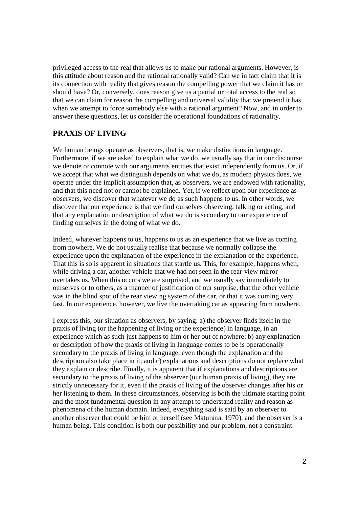privileged access to the real that allows us to make our rational arguments. However, is this attitude about reason and the rational rationally valid? Can we in fact claim that it is its connection with reality that gives reason the compelling power that we claim it has or should have? Or, conversely, does reason give us a partial or total access to the real so that we can claim for reason the compelling and universal validity that we pretend it has when we attempt to force somebody else with a rational argument? Now, and in order to answer these questions, let us consider the operational foundations of rationality.

# **PRAXIS OF LIVING**

We human beings operate as observers, that is, we make distinctions in language. Furthermore, if we are asked to explain what we do, we usually say that in our discourse we denote or connote with our arguments entities that exist independently from us. Or, if we accept that what we distinguish depends on what we do, as modern physics does, we operate under the implicit assumption that, as observers, we are endowed with rationality, and that this need not or cannot be explained. Yet, if we reflect upon our experience as observers, we discover that whatever we do as such happens to us. In other words, we discover that our experience is that we find ourselves observing, talking or acting, and that any explanation or description of what we do is secondary to our experience of finding ourselves in the doing of what we do.

Indeed, whatever happens to us, happens to us as an experience that we live as coming from nowhere. We do not usually realise that because we normally collapse the experience upon the explanation of the experience in the explanation of the experience. That this is so is apparent in situations that startle us. This, for example, happens when, while driving a car, another vehicle that we had not seen in the rear-view mirror overtakes us. When this occurs we are surprised, and we usually say immediately to ourselves or to others, as a manner of justification of our surprise, that the other vehicle was in the blind spot of the rear viewing system of the car, or that it was coming very fast. In our experience, however, we live the overtaking car as appearing from nowhere.

I express this, our situation as observers, by saying: a) the observer finds itself in the praxis of living (or the happening of living or the experience) in language, in an experience which as such just happens to him or her out of nowhere; b) any explanation or description of how the praxis of living in language comes to be is operationally secondary to the praxis of living in language, even though the explanation and the description also take place in it; and c) explanations and descriptions do not replace what they explain or describe. Finally, it is apparent that if explanations and descriptions are secondary to the praxis of living of the observer (our human praxis of living), they are strictly unnecessary for it, even if the praxis of living of the observer changes after his or her listening to them. In these circumstances, observing is both the ultimate starting point and the most fundamental question in any attempt to understand reality and reason as phenomena of the human domain. Indeed, everything said is said by an observer to another observer that could be him or herself (see Maturana, 1970), and the observer is a human being. This condition is both our possibility and our problem, not a constraint.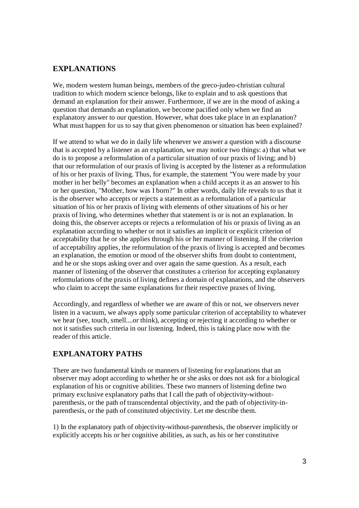## **EXPLANATIONS**

We, modern western human beings, members of the greco-judeo-christian cultural tradition to which modern science belongs, like to explain and to ask questions that demand an explanation for their answer. Furthermore, if we are in the mood of asking a question that demands an explanation, we become pacified only when we find an explanatory answer to our question. However, what does take place in an explanation? What must happen for us to say that given phenomenon or situation has been explained?

If we attend to what we do in daily life whenever we answer a question with a discourse that is accepted by a listener as an explanation, we may notice two things: a) that what we do is to propose a reformulation of a particular situation of our praxis of living; and b) that our reformulation of our praxis of living is accepted by the listener as a reformulation of his or her praxis of living. Thus, for example, the statement "You were made by your mother in her belly" becomes an explanation when a child accepts it as an answer to his or her question, "Mother, how was I born?" In other words, daily life reveals to us that it is the observer who accepts or rejects a statement as a reformulation of a particular situation of his or her praxis of living with elements of other situations of his or her praxis of living, who determines whether that statement is or is not an explanation. In doing this, the observer accepts or rejects a reformulation of his or praxis of living as an explanation according to whether or not it satisfies an implicit or explicit criterion of acceptability that he or she applies through his or her manner of listening. If the criterion of acceptability applies, the reformulation of the praxis of living is accepted and becomes an explanation, the emotion or mood of the observer shifts from doubt to contentment, and he or she stops asking over and over again the same question. As a result, each manner of listening of the observer that constitutes a criterion for accepting explanatory reformulations of the praxis of living defines a domain of explanations, and the observers who claim to accept the same explanations for their respective praxes of living.

Accordingly, and regardless of whether we are aware of this or not, we observers never listen in a vacuum, we always apply some particular criterion of acceptability to whatever we hear (see, touch, smell....or think), accepting or rejecting it according to whether or not it satisfies such criteria in our listening. Indeed, this is taking place now with the reader of this article.

# **EXPLANATORY PATHS**

There are two fundamental kinds or manners of listening for explanations that an observer may adopt according to whether he or she asks or does not ask for a biological explanation of his or cognitive abilities. These two manners of listening define two primary exclusive explanatory paths that I call the path of objectivity-withoutparenthesis, or the path of transcendental objectivity, and the path of objectivity-inparenthesis, or the path of constituted objectivity. Let me describe them.

1) In the explanatory path of objectivity-without-parenthesis, the observer implicitly or explicitly accepts his or her cognitive abilities, as such, as his or her constitutive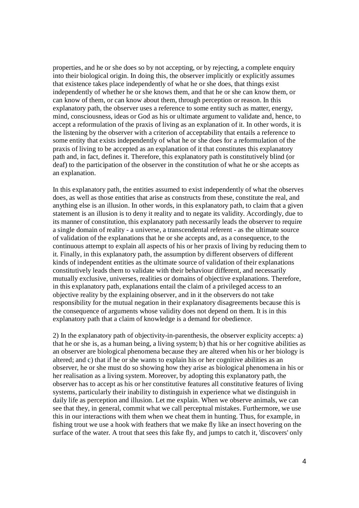properties, and he or she does so by not accepting, or by rejecting, a complete enquiry into their biological origin. In doing this, the observer implicitly or explicitly assumes that existence takes place independently of what he or she does, that things exist independently of whether he or she knows them, and that he or she can know them, or can know of them, or can know about them, through perception or reason. In this explanatory path, the observer uses a reference to some entity such as matter, energy, mind, consciousness, ideas or God as his or ultimate argument to validate and, hence, to accept a reformulation of the praxis of living as an explanation of it. In other words, it is the listening by the observer with a criterion of acceptability that entails a reference to some entity that exists independently of what he or she does for a reformulation of the praxis of living to be accepted as an explanation of it that constitutes this explanatory path and, in fact, defines it. Therefore, this explanatory path is constitutively blind (or deaf) to the participation of the observer in the constitution of what he or she accepts as an explanation.

In this explanatory path, the entities assumed to exist independently of what the observes does, as well as those entities that arise as constructs from these, constitute the real, and anything else is an illusion. In other words, in this explanatory path, to claim that a given statement is an illusion is to deny it reality and to negate its validity. Accordingly, due to its manner of constitution, this explanatory path necessarily leads the observer to require a single domain of reality - a universe, a transcendental referent - as the ultimate source of validation of the explanations that he or she accepts and, as a consequence, to the continuous attempt to explain all aspects of his or her praxis of living by reducing them to it. Finally, in this explanatory path, the assumption by different observers of different kinds of independent entities as the ultimate source of validation of their explanations constitutively leads them to validate with their behaviour different, and necessarily mutually exclusive, universes, realities or domains of objective explanations. Therefore, in this explanatory path, explanations entail the claim of a privileged access to an objective reality by the explaining observer, and in it the observers do not take responsibility for the mutual negation in their explanatory disagreements because this is the consequence of arguments whose validity does not depend on them. It is in this explanatory path that a claim of knowledge is a demand for obedience.

2) In the explanatory path of objectivity-in-parenthesis, the observer explicity accepts: a) that he or she is, as a human being, a living system; b) that his or her cognitive abilities as an observer are biological phenomena because they are altered when his or her biology is altered; and c) that if he or she wants to explain his or her cognitive abilities as an observer, he or she must do so showing how they arise as biological phenomena in his or her realisation as a living system. Moreover, by adopting this explanatory path, the observer has to accept as his or her constitutive features all constitutive features of living systems, particularly their inability to distinguish in experience what we distinguish in daily life as perception and illusion. Let me explain. When we observe animals, we can see that they, in general, commit what we call perceptual mistakes. Furthermore, we use this in our interactions with them when we cheat them in hunting. Thus, for example, in fishing trout we use a hook with feathers that we make fly like an insect hovering on the surface of the water. A trout that sees this fake fly, and jumps to catch it, 'discovers' only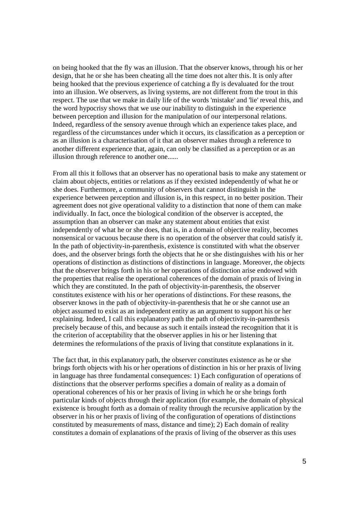on being hooked that the fly was an illusion. That the observer knows, through his or her design, that he or she has been cheating all the time does not alter this. It is only after being hooked that the previous experience of catching a fly is devaluated for the trout into an illusion. We observers, as living systems, are not different from the trout in this respect. The use that we make in daily life of the words 'mistake' and 'lie' reveal this, and the word hypocrisy shows that we use our inability to distinguish in the experience between perception and illusion for the manipulation of our interpersonal relations. Indeed, regardless of the sensory avenue through which an experience takes place, and regardless of the circumstances under which it occurs, its classification as a perception or as an illusion is a characterisation of it that an observer makes through a reference to another different experience that, again, can only be classified as a perception or as an illusion through reference to another one......

From all this it follows that an observer has no operational basis to make any statement or claim about objects, entities or relations as if they eexisted independently of what he or she does. Furthermore, a community of observers that cannot distinguish in the experience between perception and illusion is, in this respect, in no better position. Their agreement does not give operational validity to a distinction that none of them can make individually. In fact, once the biological condition of the observer is accepted, the assumption than an observer can make any statement about entities that exist independently of what he or she does, that is, in a domain of objective reality, becomes nonsensical or vacuous because there is no operation of the observer that could satisfy it. In the path of objectivity-in-parenthesis, existence is constituted with what the observer does, and the observer brings forth the objects that he or she distinguishes with his or her operations of distinction as distinctions of distinctions in language. Moreover, the objects that the observer brings forth in his or her operations of distinction arise endowed with the properties that realise the operational coherences of the domain of praxis of living in which they are constituted. In the path of objectivity-in-parenthesis, the observer constitutes existence with his or her operations of distinctions. For these reasons, the observer knows in the path of objectivity-in-parenthesis that he or she cannot use an object assumed to exist as an independent entity as an argument to support his or her explaining. Indeed, I call this explanatory path the path of objectivity-in-parenthesis precisely because of this, and because as such it entails instead the recognition that it is the criterion of acceptability that the observer applies in his or her listening that determines the reformulations of the praxis of living that constitute explanations in it.

The fact that, in this explanatory path, the observer constitutes existence as he or she brings forth objects with his or her operations of distinction in his or her praxis of living in language has three fundamental consequences: 1) Each configuration of operations of distinctions that the observer performs specifies a domain of reality as a domain of operational coherences of his or her praxis of living in which he or she brings forth particular kinds of objects through their application (for example, the domain of physical existence is brought forth as a domain of reality through the recursive application by the observer in his or her praxis of living of the configuration of operations of distinctions constituted by measurements of mass, distance and time); 2) Each domain of reality constitutes a domain of explanations of the praxis of living of the observer as this uses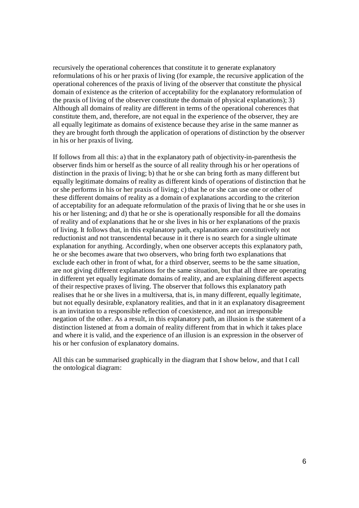recursively the operational coherences that constitute it to generate explanatory reformulations of his or her praxis of living (for example, the recursive application of the operational coherences of the praxis of living of the observer that constitute the physical domain of existence as the criterion of acceptability for the explanatory reformulation of the praxis of living of the observer constitute the domain of physical explanations); 3) Although all domains of reality are different in terms of the operational coherences that constitute them, and, therefore, are not equal in the experience of the observer, they are all equally legitimate as domains of existence because they arise in the same manner as they are brought forth through the application of operations of distinction by the observer in his or her praxis of living.

If follows from all this: a) that in the explanatory path of objectivity-in-parenthesis the observer finds him or herself as the source of all reality through his or her operations of distinction in the praxis of living; b) that he or she can bring forth as many different but equally legitimate domains of reality as different kinds of operations of distinction that he or she performs in his or her praxis of living; c) that he or she can use one or other of these different domains of reality as a domain of explanations according to the criterion of acceptability for an adequate reformulation of the praxis of living that he or she uses in his or her listening; and d) that he or she is operationally responsible for all the domains of reality and of explanations that he or she lives in his or her explanations of the praxis of living. It follows that, in this explanatory path, explanations are constitutively not reductionist and not transcendental because in it there is no search for a single ultimate explanation for anything. Accordingly, when one observer accepts this explanatory path, he or she becomes aware that two observers, who bring forth two explanations that exclude each other in front of what, for a third observer, seems to be the same situation, are not giving different explanations for the same situation, but that all three are operating in different yet equally legitimate domains of reality, and are explaining different aspects of their respective praxes of living. The observer that follows this explanatory path realises that he or she lives in a multiversa, that is, in many different, equally legitimate, but not equally desirable, explanatory realities, and that in it an explanatory disagreement is an invitation to a responsible reflection of coexistence, and not an irresponsible negation of the other. As a result, in this explanatory path, an illusion is the statement of a distinction listened at from a domain of reality different from that in which it takes place and where it is valid, and the experience of an illusion is an expression in the observer of his or her confusion of explanatory domains.

All this can be summarised graphically in the diagram that I show below, and that I call the ontological diagram: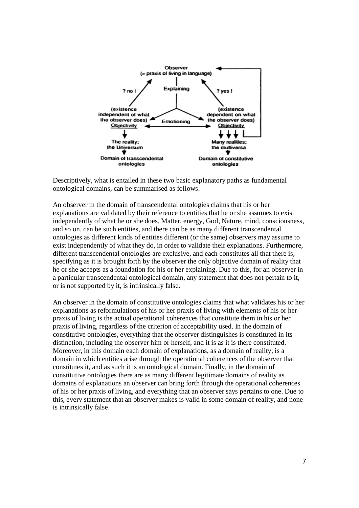

Descriptively, what is entailed in these two basic explanatory paths as fundamental ontological domains, can be summarised as follows.

An observer in the domain of transcendental ontologies claims that his or her explanations are validated by their reference to entities that he or she assumes to exist independently of what he or she does. Matter, energy, God, Nature, mind, consciousness, and so on, can be such entities, and there can be as many different transcendental ontologies as different kinds of entities different (or the same) observers may assume to exist independently of what they do, in order to validate their explanations. Furthermore, different transcendental ontologies are exclusive, and each constitutes all that there is, specifying as it is brought forth by the observer the only objective domain of reality that he or she accepts as a foundation for his or her explaining. Due to this, for an observer in a particular transcendental ontological domain, any statement that does not pertain to it, or is not supported by it, is intrinsically false.

An observer in the domain of constitutive ontologies claims that what validates his or her explanations as reformulations of his or her praxis of living with elements of his or her praxis of living is the actual operational coherences that constitute them in his or her praxis of living, regardless of the criterion of acceptability used. In the domain of constitutive ontologies, everything that the observer distinguishes is constituted in its distinction, including the observer him or herself, and it is as it is there constituted. Moreover, in this domain each domain of explanations, as a domain of reality, is a domain in which entities arise through the operational coherences of the observer that constitutes it, and as such it is an ontological domain. Finally, in the domain of constitutive ontologies there are as many different legitimate domains of reality as domains of explanations an observer can bring forth through the operational coherences of his or her praxis of living, and everything that an observer says pertains to one. Due to this, every statement that an observer makes is valid in some domain of reality, and none is intrinsically false.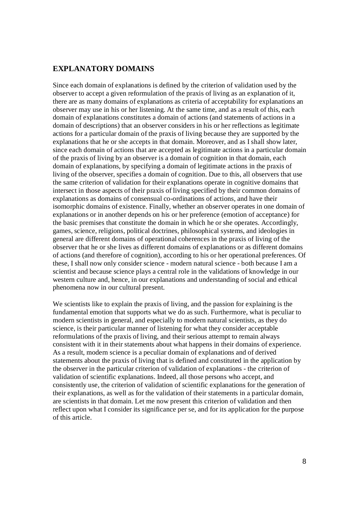#### **EXPLANATORY DOMAINS**

Since each domain of explanations is defined by the criterion of validation used by the observer to accept a given reformulation of the praxis of living as an explanation of it, there are as many domains of explanations as criteria of acceptability for explanations an observer may use in his or her listening. At the same time, and as a result of this, each domain of explanations constitutes a domain of actions (and statements of actions in a domain of descriptions) that an observer considers in his or her reflections as legitimate actions for a particular domain of the praxis of living because they are supported by the explanations that he or she accepts in that domain. Moreover, and as I shall show later, since each domain of actions that are accepted as legitimate actions in a particular domain of the praxis of living by an observer is a domain of cognition in that domain, each domain of explanations, by specifying a domain of legitimate actions in the praxis of living of the observer, specifies a domain of cognition. Due to this, all observers that use the same criterion of validation for their explanations operate in cognitive domains that intersect in those aspects of their praxis of living specified by their common domains of explanations as domains of consensual co-ordinations of actions, and have their isomorphic domains of existence. Finally, whether an observer operates in one domain of explanations or in another depends on his or her preference (emotion of acceptance) for the basic premises that constitute the domain in which he or she operates. Accordingly, games, science, religions, political doctrines, philosophical systems, and ideologies in general are different domains of operational coherences in the praxis of living of the observer that he or she lives as different domains of explanations or as different domains of actions (and therefore of cognition), according to his or her operational preferences. Of these, I shall now only consider science - modern natural science - both because I am a scientist and because science plays a central role in the validations of knowledge in our western culture and, hence, in our explanations and understanding of social and ethical phenomena now in our cultural present.

We scientists like to explain the praxis of living, and the passion for explaining is the fundamental emotion that supports what we do as such. Furthermore, what is peculiar to modern scientists in general, and especially to modern natural scientists, as they do science, is their particular manner of listening for what they consider acceptable reformulations of the praxis of living, and their serious attempt to remain always consistent with it in their statements about what happens in their domains of experience. As a result, modern science is a peculiar domain of explanations and of derived statements about the praxis of living that is defined and constituted in the application by the observer in the particular criterion of validation of explanations - the criterion of validation of scientific explanations. Indeed, all those persons who accept, and consistently use, the criterion of validation of scientific explanations for the generation of their explanations, as well as for the validation of their statements in a particular domain, are scientists in that domain. Let me now present this criterion of validation and then reflect upon what I consider its significance per se, and for its application for the purpose of this article.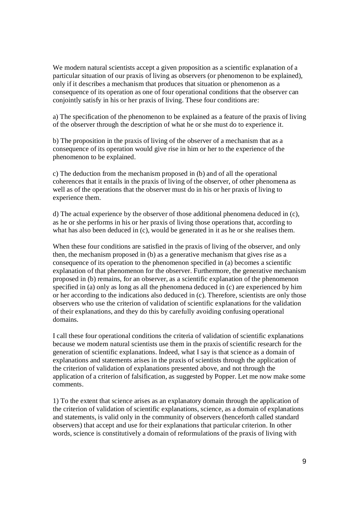We modern natural scientists accept a given proposition as a scientific explanation of a particular situation of our praxis of living as observers (or phenomenon to be explained), only if it describes a mechanism that produces that situation or phenomenon as a consequence of its operation as one of four operational conditions that the observer can conjointly satisfy in his or her praxis of living. These four conditions are:

a) The specification of the phenomenon to be explained as a feature of the praxis of living of the observer through the description of what he or she must do to experience it.

b) The proposition in the praxis of living of the observer of a mechanism that as a consequence of its operation would give rise in him or her to the experience of the phenomenon to be explained.

c) The deduction from the mechanism proposed in (b) and of all the operational coherences that it entails in the praxis of living of the observer, of other phenomena as well as of the operations that the observer must do in his or her praxis of living to experience them.

d) The actual experience by the observer of those additional phenomena deduced in (c), as he or she performs in his or her praxis of living those operations that, according to what has also been deduced in (c), would be generated in it as he or she realises them.

When these four conditions are satisfied in the praxis of living of the observer, and only then, the mechanism proposed in (b) as a generative mechanism that gives rise as a consequence of its operation to the phenomenon specified in (a) becomes a scientific explanation of that phenomenon for the observer. Furthermore, the generative mechanism proposed in (b) remains, for an observer, as a scientific explanation of the phenomenon specified in (a) only as long as all the phenomena deduced in (c) are experienced by him or her according to the indications also deduced in (c). Therefore, scientists are only those observers who use the criterion of validation of scientific explanations for the validation of their explanations, and they do this by carefully avoiding confusing operational domains.

I call these four operational conditions the criteria of validation of scientific explanations because we modern natural scientists use them in the praxis of scientific research for the generation of scientific explanations. Indeed, what I say is that science as a domain of explanations and statements arises in the praxis of scientists through the application of the criterion of validation of explanations presented above, and not through the application of a criterion of falsification, as suggested by Popper. Let me now make some comments.

1) To the extent that science arises as an explanatory domain through the application of the criterion of validation of scientific explanations, science, as a domain of explanations and statements, is valid only in the community of observers (henceforth called standard observers) that accept and use for their explanations that particular criterion. In other words, science is constitutively a domain of reformulations of the praxis of living with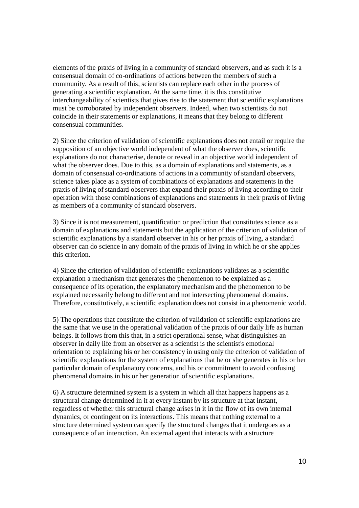elements of the praxis of living in a community of standard observers, and as such it is a consensual domain of co-ordinations of actions between the members of such a community. As a result of this, scientists can replace each other in the process of generating a scientific explanation. At the same time, it is this constitutive interchangeability of scientists that gives rise to the statement that scientific explanations must be corroborated by independent observers. Indeed, when two scientists do not coincide in their statements or explanations, it means that they belong to different consensual communities.

2) Since the criterion of validation of scientific explanations does not entail or require the supposition of an objective world independent of what the observer does, scientific explanations do not characterise, denote or reveal in an objective world independent of what the observer does. Due to this, as a domain of explanations and statements, as a domain of consensual co-ordinations of actions in a community of standard observers, science takes place as a system of combinations of explanations and statements in the praxis of living of standard observers that expand their praxis of living according to their operation with those combinations of explanations and statements in their praxis of living as members of a community of standard observers.

3) Since it is not measurement, quantification or prediction that constitutes science as a domain of explanations and statements but the application of the criterion of validation of scientific explanations by a standard observer in his or her praxis of living, a standard observer can do science in any domain of the praxis of living in which he or she applies this criterion.

4) Since the criterion of validation of scientific explanations validates as a scientific explanation a mechanism that generates the phenomenon to be explained as a consequence of its operation, the explanatory mechanism and the phenomenon to be explained necessarily belong to different and not intersecting phenomenal domains. Therefore, constitutively, a scientific explanation does not consist in a phenomenic world.

5) The operations that constitute the criterion of validation of scientific explanations are the same that we use in the operational validation of the praxis of our daily life as human beings. It follows from this that, in a strict operational sense, what distinguishes an observer in daily life from an observer as a scientist is the scientist's emotional orientation to explaining his or her consistency in using only the criterion of validation of scientific explanations for the system of explanations that he or she generates in his or her particular domain of explanatory concerns, and his or commitment to avoid confusing phenomenal domains in his or her generation of scientific explanations.

6) A structure determined system is a system in which all that happens happens as a structural change determined in it at every instant by its structure at that instant, regardless of whether this structural change arises in it in the flow of its own internal dynamics, or contingent on its interactions. This means that nothing external to a structure determined system can specify the structural changes that it undergoes as a consequence of an interaction. An external agent that interacts with a structure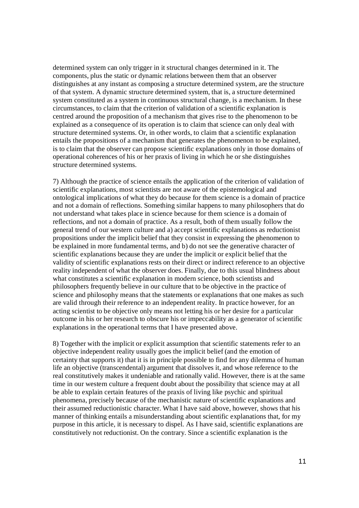determined system can only trigger in it structural changes determined in it. The components, plus the static or dynamic relations between them that an observer distinguishes at any instant as composing a structure determined system, are the structure of that system. A dynamic structure determined system, that is, a structure determined system constituted as a system in continuous structural change, is a mechanism. In these circumstances, to claim that the criterion of validation of a scientific explanation is centred around the proposition of a mechanism that gives rise to the phenomenon to be explained as a consequence of its operation is to claim that science can only deal with structure determined systems. Or, in other words, to claim that a scientific explanation entails the propositions of a mechanism that generates the phenomenon to be explained, is to claim that the observer can propose scientific explanations only in those domains of operational coherences of his or her praxis of living in which he or she distinguishes structure determined systems.

7) Although the practice of science entails the application of the criterion of validation of scientific explanations, most scientists are not aware of the epistemological and ontological implications of what they do because for them science is a domain of practice and not a domain of reflections. Something similar happens to many philosophers that do not understand what takes place in science because for them science is a domain of reflections, and not a domain of practice. As a result, both of them usually follow the general trend of our western culture and a) accept scientific explanations as reductionist propositions under the implicit belief that they consist in expressing the phenomenon to be explained in more fundamental terms, and b) do not see the generative character of scientific explanations because they are under the implicit or explicit belief that the validity of scientific explanations rests on their direct or indirect reference to an objective reality independent of what the observer does. Finally, due to this usual blindness about what constitutes a scientific explanation in modern science, both scientists and philosophers frequently believe in our culture that to be objective in the practice of science and philosophy means that the statements or explanations that one makes as such are valid through their reference to an independent reality. In practice however, for an acting scientist to be objective only means not letting his or her desire for a particular outcome in his or her research to obscure his or impeccability as a generator of scientific explanations in the operational terms that I have presented above.

8) Together with the implicit or explicit assumption that scientific statements refer to an objective independent reality usually goes the implicit belief (and the emotion of certainty that supports it) that it is in principle possible to find for any dilemma of human life an objective (transcendental) argument that dissolves it, and whose reference to the real constitutively makes it undeniable and rationally valid. However, there is at the same time in our western culture a frequent doubt about the possibility that science may at all be able to explain certain features of the praxis of living like psychic and spiritual phenomena, precisely because of the mechanistic nature of scientific explanations and their assumed reductionistic character. What I have said above, however, shows that his manner of thinking entails a misunderstanding about scientific explanations that, for my purpose in this article, it is necessary to dispel. As I have said, scientific explanations are constitutively not reductionist. On the contrary. Since a scientific explanation is the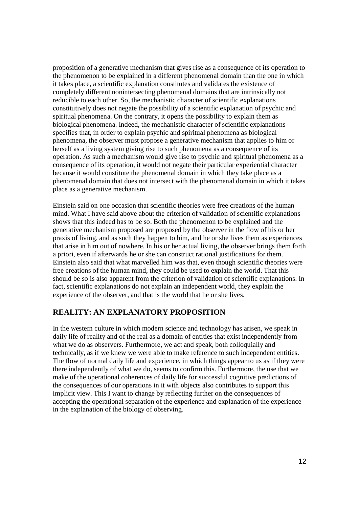proposition of a generative mechanism that gives rise as a consequence of its operation to the phenomenon to be explained in a different phenomenal domain than the one in which it takes place, a scientific explanation constitutes and validates the existence of completely different nonintersecting phenomenal domains that are intrinsically not reducible to each other. So, the mechanistic character of scientific explanations constitutively does not negate the possibility of a scientific explanation of psychic and spiritual phenomena. On the contrary, it opens the possibility to explain them as biological phenomena. Indeed, the mechanistic character of scientific explanations specifies that, in order to explain psychic and spiritual phenomena as biological phenomena, the observer must propose a generative mechanism that applies to him or herself as a living system giving rise to such phenomena as a consequence of its operation. As such a mechanism would give rise to psychic and spiritual phenomena as a consequence of its operation, it would not negate their particular experiential character because it would constitute the phenomenal domain in which they take place as a phenomenal domain that does not intersect with the phenomenal domain in which it takes place as a generative mechanism.

Einstein said on one occasion that scientific theories were free creations of the human mind. What I have said above about the criterion of validation of scientific explanations shows that this indeed has to be so. Both the phenomenon to be explained and the generative mechanism proposed are proposed by the observer in the flow of his or her praxis of living, and as such they happen to him, and he or she lives them as experiences that arise in him out of nowhere. In his or her actual living, the observer brings them forth a priori, even if afterwards he or she can construct rational justifications for them. Einstein also said that what marvelled him was that, even though scientific theories were free creations of the human mind, they could be used to explain the world. That this should be so is also apparent from the criterion of validation of scientific explanations. In fact, scientific explanations do not explain an independent world, they explain the experience of the observer, and that is the world that he or she lives.

#### **REALITY: AN EXPLANATORY PROPOSITION**

In the western culture in which modern science and technology has arisen, we speak in daily life of reality and of the real as a domain of entities that exist independently from what we do as observers. Furthermore, we act and speak, both colloquially and technically, as if we knew we were able to make reference to such independent entities. The flow of normal daily life and experience, in which things appear to us as if they were there independently of what we do, seems to confirm this. Furthermore, the use that we make of the operational coherences of daily life for successful cognitive predictions of the consequences of our operations in it with objects also contributes to support this implicit view. This I want to change by reflecting further on the consequences of accepting the operational separation of the experience and explanation of the experience in the explanation of the biology of observing.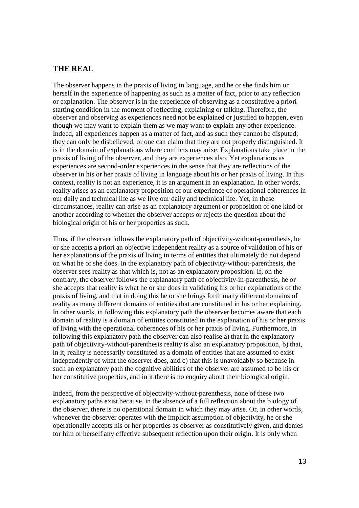#### **THE REAL**

The observer happens in the praxis of living in language, and he or she finds him or herself in the experience of happening as such as a matter of fact, prior to any reflection or explanation. The observer is in the experience of observing as a constitutive a priori starting condition in the moment of reflecting, explaining or talking. Therefore, the observer and observing as experiences need not be explained or justified to happen, even though we may want to explain them as we may want to explain any other experience. Indeed, all experiences happen as a matter of fact, and as such they cannot be disputed; they can only be disbelieved, or one can claim that they are not properly distinguished. It is in the domain of explanations where conflicts may arise. Explanations take place in the praxis of living of the observer, and they are experiences also. Yet explanations as experiences are second-order experiences in the sense that they are reflections of the observer in his or her praxis of living in language about his or her praxis of living. In this context, reality is not an experience, it is an argument in an explanation. In other words, reality arises as an explanatory proposition of our experience of operational coherences in our daily and technical life as we live our daily and technical life. Yet, in these circumstances, reality can arise as an explanatory argument or proposition of one kind or another according to whether the observer accepts or rejects the question about the biological origin of his or her properties as such.

Thus, if the observer follows the explanatory path of objectivity-without-parenthesis, he or she accepts a priori an objective independent reality as a source of validation of his or her explanations of the praxis of living in terms of entities that ultimately do not depend on what he or she does. In the explanatory path of objectivity-without-parenthesis, the observer sees reality as that which is, not as an explanatory proposition. If, on the contrary, the observer follows the explanatory path of objectivity-in-parenthesis, he or she accepts that reality is what he or she does in validating his or her explanations of the praxis of living, and that in doing this he or she brings forth many different domains of reality as many different domains of entities that are constituted in his or her explaining. In other words, in following this explanatory path the observer becomes aware that each domain of reality is a domain of entities constituted in the explanation of his or her praxis of living with the operational coherences of his or her praxis of living. Furthermore, in following this explanatory path the observer can also realise a) that in the explanatory path of objectivity-without-parenthesis reality is also an explanatory proposition, b) that, in it, reality is necessarily constituted as a domain of entities that are assumed to exist independently of what the observer does, and c) that this is unavoidably so because in such an explanatory path the cognitive abilities of the observer are assumed to be his or her constitutive properties, and in it there is no enquiry about their biological origin.

Indeed, from the perspective of objectivity-without-parenthesis, none of these two explanatory paths exist because, in the absence of a full reflection about the biology of the observer, there is no operational domain in which they may arise. Or, in other words, whenever the observer operates with the implicit assumption of objectivity, he or she operationally accepts his or her properties as observer as constitutively given, and denies for him or herself any effective subsequent reflection upon their origin. It is only when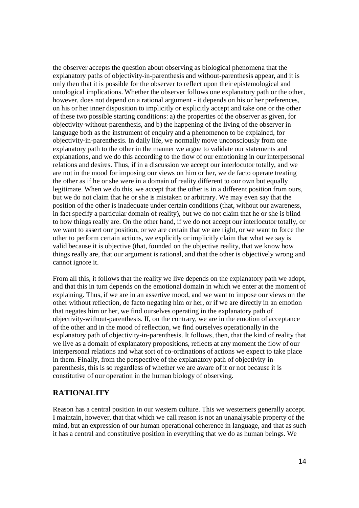the observer accepts the question about observing as biological phenomena that the explanatory paths of objectivity-in-parenthesis and without-parenthesis appear, and it is only then that it is possible for the observer to reflect upon their epistemological and ontological implications. Whether the observer follows one explanatory path or the other, however, does not depend on a rational argument - it depends on his or her preferences, on his or her inner disposition to implicitly or explicitly accept and take one or the other of these two possible starting conditions: a) the properties of the observer as given, for objectivity-without-parenthesis, and b) the happening of the living of the observer in language both as the instrument of enquiry and a phenomenon to be explained, for objectivity-in-parenthesis. In daily life, we normally move unconsciously from one explanatory path to the other in the manner we argue to validate our statements and explanations, and we do this according to the flow of our emotioning in our interpersonal relations and desires. Thus, if in a discussion we accept our interlocutor totally, and we are not in the mood for imposing our views on him or her, we de facto operate treating the other as if he or she were in a domain of reality different to our own but equally legitimate. When we do this, we accept that the other is in a different position from ours, but we do not claim that he or she is mistaken or arbitrary. We may even say that the position of the other is inadequate under certain conditions (that, without our awareness, in fact specify a particular domain of reality), but we do not claim that he or she is blind to how things really are. On the other hand, if we do not accept our interlocutor totally, or we want to assert our position, or we are certain that we are right, or we want to force the other to perform certain actions, we explicitly or implicitly claim that what we say is valid because it is objective (that, founded on the objective reality, that we know how things really are, that our argument is rational, and that the other is objectively wrong and cannot ignore it.

From all this, it follows that the reality we live depends on the explanatory path we adopt, and that this in turn depends on the emotional domain in which we enter at the moment of explaining. Thus, if we are in an assertive mood, and we want to impose our views on the other without reflection, de facto negating him or her, or if we are directly in an emotion that negates him or her, we find ourselves operating in the explanatory path of objectivity-without-parenthesis. If, on the contrary, we are in the emotion of acceptance of the other and in the mood of reflection, we find ourselves operationally in the explanatory path of objectivity-in-parenthesis. It follows, then, that the kind of reality that we live as a domain of explanatory propositions, reflects at any moment the flow of our interpersonal relations and what sort of co-ordinations of actions we expect to take place in them. Finally, from the perspective of the explanatory path of objectivity-inparenthesis, this is so regardless of whether we are aware of it or not because it is constitutive of our operation in the human biology of observing.

# **RATIONALITY**

Reason has a central position in our western culture. This we westerners generally accept. I maintain, however, that that which we call reason is not an unanalysable property of the mind, but an expression of our human operational coherence in language, and that as such it has a central and constitutive position in everything that we do as human beings. We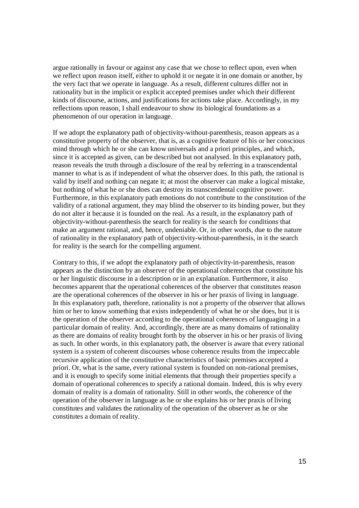argue rationally in favour or against any case that we chose to reflect upon, even when we reflect upon reason itself, either to uphold it or negate it in one domain or another, by the very fact that we operate in language. As a result, different cultures differ not in rationality but in the implicit or explicit accepted premises under which their different kinds of discourse, actions, and justifications for actions take place. Accordingly, in my reflections upon reason, I shall endeavour to show its biological foundations as a phenomenon of our operation in language.

If we adopt the explanatory path of objectivity-without-parenthesis, reason appears as a constitutive property of the observer, that is, as a cognitive feature of his or her conscious mind through which he or she can know universals and a priori principles, and which, since it is accepted as given, can be described but not analysed. In this explanatory path, reason reveals the truth through a disclosure of the real by referring in a transcendental manner to what is as if independent of what the observer does. In this path, the rational is valid by itself and nothing can negate it; at most the observer can make a logical mistake, but nothing of what he or she does can destroy its transcendental cognitive power. Furthermore, in this explanatory path emotions do not contribute to the constitution of the validity of a rational argument, they may blind the observer to its binding power, but they do not alter it because it is founded on the real. As a result, in the explanatory path of objectivity-without-parenthesis the search for reality is the search for conditions that make an argument rational, and, hence, undeniable. Or, in other words, due to the nature of rationality in the explanatory path of objectivity-without-parenthesis, in it the search for reality is the search for the compelling argument.

Contrary to this, if we adopt the explanatory path of objectivity-in-parenthesis, reason appears as the distinction by an observer of the operational coherences that constitute his or her linguistic discourse in a description or in an explanation. Furthermore, it also becomes apparent that the operational coherences of the observer that constitutes reason are the operational coherences of the observer in his or her praxis of living in language. In this explanatory path, therefore, rationality is not a property of the observer that allows him or her to know something that exists independently of what he or she does, but it is the operation of the observer according to the operational coherences of languaging in a particular domain of reality. And, accordingly, there are as many domains of rationality as there are domains of reality brought forth by the observer in his or her praxis of living as such. In other words, in this explanatory path, the observer is aware that every rational system is a system of coherent discourses whose coherence results from the impeccable recursive application of the constitutive characteristics of basic premises accepted a priori. Or, what is the same, every rational system is founded on non-rational premises, and it is enough to specify some initial elements that through their properties specify a domain of operational coherences to specify a rational domain. Indeed, this is why every domain of reality is a domain of rationality. Still in other words, the coherence of the operation of the observer in language as he or she explains his or her praxis of living constitutes and validates the rationality of the operation of the observer as he or she constitutes a domain of reality.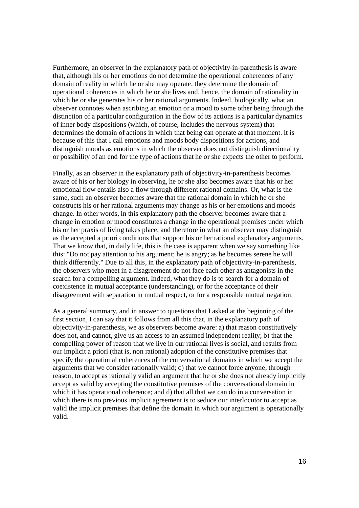Furthermore, an observer in the explanatory path of objectivity-in-parenthesis is aware that, although his or her emotions do not determine the operational coherences of any domain of reality in which he or she may operate, they determine the domain of operational coherences in which he or she lives and, hence, the domain of rationality in which he or she generates his or her rational arguments. Indeed, biologically, what an observer connotes when ascribing an emotion or a mood to some other being through the distinction of a particular configuration in the flow of its actions is a particular dynamics of inner body dispositions (which, of course, includes the nervous system) that determines the domain of actions in which that being can operate at that moment. It is because of this that I call emotions and moods body dispositions for actions, and distinguish moods as emotions in which the observer does not distinguish directionality or possibility of an end for the type of actions that he or she expects the other to perform.

Finally, as an observer in the explanatory path of objectivity-in-parenthesis becomes aware of his or her biology in observing, he or she also becomes aware that his or her emotional flow entails also a flow through different rational domains. Or, what is the same, such an observer becomes aware that the rational domain in which he or she constructs his or her rational arguments may change as his or her emotions and moods change. In other words, in this explanatory path the observer becomes aware that a change in emotion or mood constitutes a change in the operational premises under which his or her praxis of living takes place, and therefore in what an observer may distinguish as the accepted a priori conditions that support his or her rational explanatory arguments. That we know that, in daily life, this is the case is apparent when we say something like this: "Do not pay attention to his argument; he is angry; as he becomes serene he will think differently." Due to all this, in the explanatory path of objectivity-in-parenthesis, the observers who meet in a disagreement do not face each other as antagonists in the search for a compelling argument. Indeed, what they do is to search for a domain of coexistence in mutual acceptance (understanding), or for the acceptance of their disagreement with separation in mutual respect, or for a responsible mutual negation.

As a general summary, and in answer to questions that I asked at the beginning of the first section, I can say that it follows from all this that, in the explanatory path of objectivity-in-parenthesis, we as observers become aware: a) that reason constitutively does not, and cannot, give us an access to an assumed independent reality; b) that the compelling power of reason that we live in our rational lives is social, and results from our implicit a priori (that is, non rational) adoption of the constitutive premises that specify the operational coherences of the conversational domains in which we accept the arguments that we consider rationally valid; c) that we cannot force anyone, through reason, to accept as rationally valid an argument that he or she does not already implicitly accept as valid by accepting the constitutive premises of the conversational domain in which it has operational coherence; and d) that all that we can do in a conversation in which there is no previous implicit agreement is to seduce our interlocutor to accept as valid the implicit premises that define the domain in which our argument is operationally valid.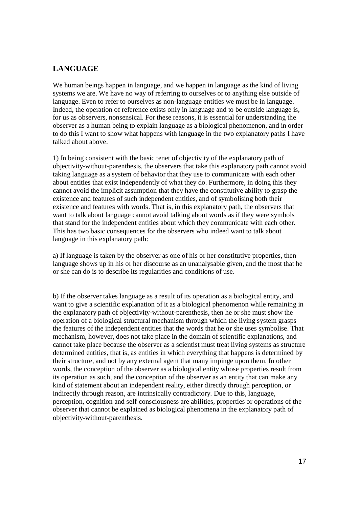## **LANGUAGE**

We human beings happen in language, and we happen in language as the kind of living systems we are. We have no way of referring to ourselves or to anything else outside of language. Even to refer to ourselves as non-language entities we must be in language. Indeed, the operation of reference exists only in language and to be outside language is, for us as observers, nonsensical. For these reasons, it is essential for understanding the observer as a human being to explain language as a biological phenomenon, and in order to do this I want to show what happens with language in the two explanatory paths I have talked about above.

1) In being consistent with the basic tenet of objectivity of the explanatory path of objectivity-without-parenthesis, the observers that take this explanatory path cannot avoid taking language as a system of behavior that they use to communicate with each other about entities that exist independently of what they do. Furthermore, in doing this they cannot avoid the implicit assumption that they have the constitutive ability to grasp the existence and features of such independent entities, and of symbolising both their existence and features with words. That is, in this explanatory path, the observers that want to talk about language cannot avoid talking about words as if they were symbols that stand for the independent entities about which they communicate with each other. This has two basic consequences for the observers who indeed want to talk about language in this explanatory path:

a) If language is taken by the observer as one of his or her constitutive properties, then language shows up in his or her discourse as an unanalysable given, and the most that he or she can do is to describe its regularities and conditions of use.

b) If the observer takes language as a result of its operation as a biological entity, and want to give a scientific explanation of it as a biological phenomenon while remaining in the explanatory path of objectivity-without-parenthesis, then he or she must show the operation of a biological structural mechanism through which the living system grasps the features of the independent entities that the words that he or she uses symbolise. That mechanism, however, does not take place in the domain of scientific explanations, and cannot take place because the observer as a scientist must treat living systems as structure determined entities, that is, as entities in which everything that happens is determined by their structure, and not by any external agent that many impinge upon them. In other words, the conception of the observer as a biological entity whose properties result from its operation as such, and the conception of the observer as an entity that can make any kind of statement about an independent reality, either directly through perception, or indirectly through reason, are intrinsically contradictory. Due to this, language, perception, cognition and self-consciousness are abilities, properties or operations of the observer that cannot be explained as biological phenomena in the explanatory path of objectivity-without-parenthesis.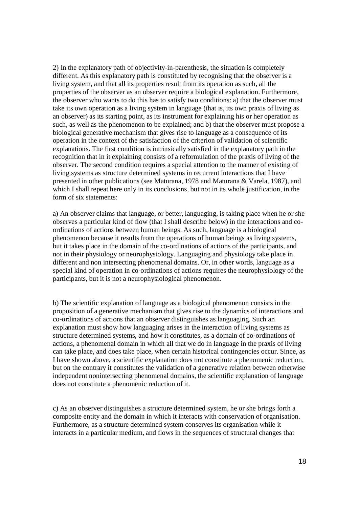2) In the explanatory path of objectivity-in-parenthesis, the situation is completely different. As this explanatory path is constituted by recognising that the observer is a living system, and that all its properties result from its operation as such, all the properties of the observer as an observer require a biological explanation. Furthermore, the observer who wants to do this has to satisfy two conditions: a) that the observer must take its own operation as a living system in language (that is, its own praxis of living as an observer) as its starting point, as its instrument for explaining his or her operation as such, as well as the phenomenon to be explained; and b) that the observer must propose a biological generative mechanism that gives rise to language as a consequence of its operation in the context of the satisfaction of the criterion of validation of scientific explanations. The first condition is intrinsically satisfied in the explanatory path in the recognition that in it explaining consists of a reformulation of the praxis of living of the observer. The second condition requires a special attention to the manner of existing of living systems as structure determined systems in recurrent interactions that I have presented in other publications (see Maturana, 1978 and Maturana & Varela, 1987), and which I shall repeat here only in its conclusions, but not in its whole justification, in the form of six statements:

a) An observer claims that language, or better, languaging, is taking place when he or she observes a particular kind of flow (that I shall describe below) in the interactions and coordinations of actions between human beings. As such, language is a biological phenomenon because it results from the operations of human beings as living systems, but it takes place in the domain of the co-ordinations of actions of the participants, and not in their physiology or neurophysiology. Languaging and physiology take place in different and non intersecting phenomenal domains. Or, in other words, language as a special kind of operation in co-ordinations of actions requires the neurophysiology of the participants, but it is not a neurophysiological phenomenon.

b) The scientific explanation of language as a biological phenomenon consists in the proposition of a generative mechanism that gives rise to the dynamics of interactions and co-ordinations of actions that an observer distinguishes as languaging. Such an explanation must show how languaging arises in the interaction of living systems as structure determined systems, and how it constitutes, as a domain of co-ordinations of actions, a phenomenal domain in which all that we do in language in the praxis of living can take place, and does take place, when certain historical contingencies occur. Since, as I have shown above, a scientific explanation does not constitute a phenomenic reduction, but on the contrary it constitutes the validation of a generative relation between otherwise independent nonintersecting phenomenal domains, the scientific explanation of language does not constitute a phenomenic reduction of it.

c) As an observer distinguishes a structure determined system, he or she brings forth a composite entity and the domain in which it interacts with conservation of organisation. Furthermore, as a structure determined system conserves its organisation while it interacts in a particular medium, and flows in the sequences of structural changes that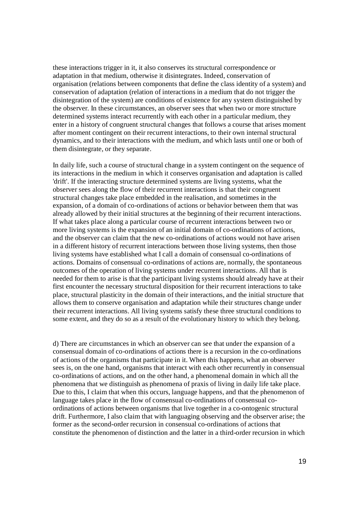these interactions trigger in it, it also conserves its structural correspondence or adaptation in that medium, otherwise it disintegrates. Indeed, conservation of organisation (relations between components that define the class identity of a system) and conservation of adaptation (relation of interactions in a medium that do not trigger the disintegration of the system) are conditions of existence for any system distinguished by the observer. In these circumstances, an observer sees that when two or more structure determined systems interact recurrently with each other in a particular medium, they enter in a history of congruent structural changes that follows a course that arises moment after moment contingent on their recurrent interactions, to their own internal structural dynamics, and to their interactions with the medium, and which lasts until one or both of them disintegrate, or they separate.

In daily life, such a course of structural change in a system contingent on the sequence of its interactions in the medium in which it conserves organisation and adaptation is called 'drift'. If the interacting structure determined systems are living systems, what the observer sees along the flow of their recurrent interactions is that their congruent structural changes take place embedded in the realisation, and sometimes in the expansion, of a domain of co-ordinations of actions or behavior between them that was already allowed by their initial structures at the beginning of their recurrent interactions. If what takes place along a particular course of recurrent interactions between two or more living systems is the expansion of an initial domain of co-ordinations of actions, and the observer can claim that the new co-ordinations of actions would not have arisen in a different history of recurrent interactions between those living systems, then those living systems have established what I call a domain of consensual co-ordinations of actions. Domains of consensual co-ordinations of actions are, normally, the spontaneous outcomes of the operation of living systems under recurrent interactions. All that is needed for them to arise is that the participant living systems should already have at their first encounter the necessary structural disposition for their recurrent interactions to take place, structural plasticity in the domain of their interactions, and the initial structure that allows them to conserve organisation and adaptation while their structures change under their recurrent interactions. All living systems satisfy these three structural conditions to some extent, and they do so as a result of the evolutionary history to which they belong.

d) There are circumstances in which an observer can see that under the expansion of a consensual domain of co-ordinations of actions there is a recursion in the co-ordinations of actions of the organisms that participate in it. When this happens, what an observer sees is, on the one hand, organisms that interact with each other recurrently in consensual co-ordinations of actions, and on the other hand, a phenomenal domain in which all the phenomena that we distinguish as phenomena of praxis of living in daily life take place. Due to this, I claim that when this occurs, language happens, and that the phenomenon of language takes place in the flow of consensual co-ordinations of consensual coordinations of actions between organisms that live together in a co-ontogenic structural drift. Furthermore, I also claim that with languaging observing and the observer arise; the former as the second-order recursion in consensual co-ordinations of actions that constitute the phenomenon of distinction and the latter in a third-order recursion in which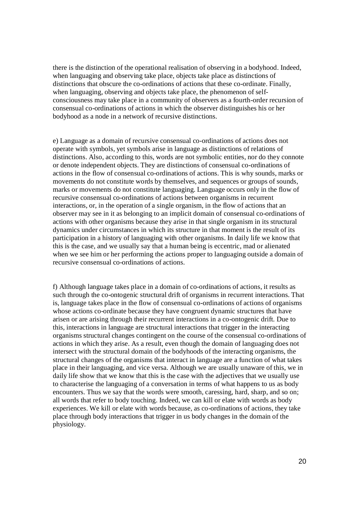there is the distinction of the operational realisation of observing in a bodyhood. Indeed, when languaging and observing take place, objects take place as distinctions of distinctions that obscure the co-ordinations of actions that these co-ordinate. Finally, when languaging, observing and objects take place, the phenomenon of selfconsciousness may take place in a community of observers as a fourth-order recursion of consensual co-ordinations of actions in which the observer distinguishes his or her bodyhood as a node in a network of recursive distinctions.

e) Language as a domain of recursive consensual co-ordinations of actions does not operate with symbols, yet symbols arise in language as distinctions of relations of distinctions. Also, according to this, words are not symbolic entities, nor do they connote or denote independent objects. They are distinctions of consensual co-ordinations of actions in the flow of consensual co-ordinations of actions. This is why sounds, marks or movements do not constitute words by themselves, and sequences or groups of sounds, marks or movements do not constitute languaging. Language occurs only in the flow of recursive consensual co-ordinations of actions between organisms in recurrent interactions, or, in the operation of a single organism, in the flow of actions that an observer may see in it as belonging to an implicit domain of consensual co-ordinations of actions with other organisms because they arise in that single organism in its structural dynamics under circumstances in which its structure in that moment is the result of its participation in a history of languaging with other organisms. In daily life we know that this is the case, and we usually say that a human being is eccentric, mad or alienated when we see him or her performing the actions proper to languaging outside a domain of recursive consensual co-ordinations of actions.

f) Although language takes place in a domain of co-ordinations of actions, it results as such through the co-ontogenic structural drift of organisms in recurrent interactions. That is, language takes place in the flow of consensual co-ordinations of actions of organisms whose actions co-ordinate because they have congruent dynamic structures that have arisen or are arising through their recurrent interactions in a co-ontogenic drift. Due to this, interactions in language are structural interactions that trigger in the interacting organisms structural changes contingent on the course of the consensual co-ordinations of actions in which they arise. As a result, even though the domain of languaging does not intersect with the structural domain of the bodyhoods of the interacting organisms, the structural changes of the organisms that interact in language are a function of what takes place in their languaging, and vice versa. Although we are usually unaware of this, we in daily life show that we know that this is the case with the adjectives that we usually use to characterise the languaging of a conversation in terms of what happens to us as body encounters. Thus we say that the words were smooth, caressing, hard, sharp, and so on; all words that refer to body touching. Indeed, we can kill or elate with words as body experiences. We kill or elate with words because, as co-ordinations of actions, they take place through body interactions that trigger in us body changes in the domain of the physiology.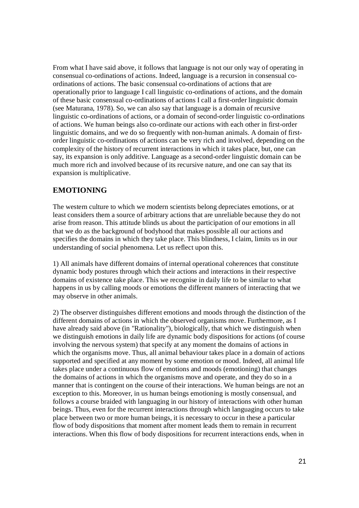From what I have said above, it follows that language is not our only way of operating in consensual co-ordinations of actions. Indeed, language is a recursion in consensual coordinations of actions. The basic consensual co-ordinations of actions that are operationally prior to language I call linguistic co-ordinations of actions, and the domain of these basic consensual co-ordinations of actions I call a first-order linguistic domain (see Maturana, 1978). So, we can also say that language is a domain of recursive linguistic co-ordinations of actions, or a domain of second-order linguistic co-ordinations of actions. We human beings also co-ordinate our actions with each other in first-order linguistic domains, and we do so frequently with non-human animals. A domain of firstorder linguistic co-ordinations of actions can be very rich and involved, depending on the complexity of the history of recurrent interactions in which it takes place, but, one can say, its expansion is only additive. Language as a second-order linguistic domain can be much more rich and involved because of its recursive nature, and one can say that its expansion is multiplicative.

#### **EMOTIONING**

The western culture to which we modern scientists belong depreciates emotions, or at least considers them a source of arbitrary actions that are unreliable because they do not arise from reason. This attitude blinds us about the participation of our emotions in all that we do as the background of bodyhood that makes possible all our actions and specifies the domains in which they take place. This blindness, I claim, limits us in our understanding of social phenomena. Let us reflect upon this.

1) All animals have different domains of internal operational coherences that constitute dynamic body postures through which their actions and interactions in their respective domains of existence take place. This we recognise in daily life to be similar to what happens in us by calling moods or emotions the different manners of interacting that we may observe in other animals.

2) The observer distinguishes different emotions and moods through the distinction of the different domains of actions in which the observed organisms move. Furthermore, as I have already said above (in "Rationality"), biologically, that which we distinguish when we distinguish emotions in daily life are dynamic body dispositions for actions (of course involving the nervous system) that specify at any moment the domains of actions in which the organisms move. Thus, all animal behaviour takes place in a domain of actions supported and specified at any moment by some emotion or mood. Indeed, all animal life takes place under a continuous flow of emotions and moods (emotioning) that changes the domains of actions in which the organisms move and operate, and they do so in a manner that is contingent on the course of their interactions. We human beings are not an exception to this. Moreover, in us human beings emotioning is mostly consensual, and follows a course braided with languaging in our history of interactions with other human beings. Thus, even for the recurrent interactions through which languaging occurs to take place between two or more human beings, it is necessary to occur in these a particular flow of body dispositions that moment after moment leads them to remain in recurrent interactions. When this flow of body dispositions for recurrent interactions ends, when in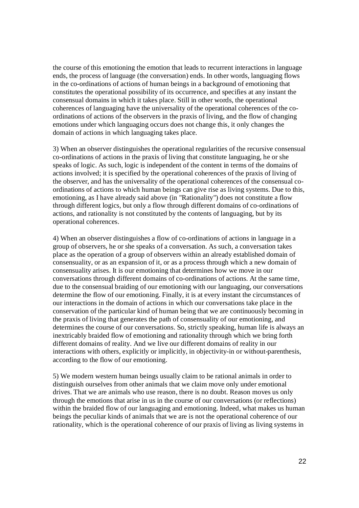the course of this emotioning the emotion that leads to recurrent interactions in language ends, the process of language (the conversation) ends. In other words, languaging flows in the co-ordinations of actions of human beings in a background of emotioning that constitutes the operational possibility of its occurrence, and specifies at any instant the consensual domains in which it takes place. Still in other words, the operational coherences of languaging have the universality of the operational coherences of the coordinations of actions of the observers in the praxis of living, and the flow of changing emotions under which languaging occurs does not change this, it only changes the domain of actions in which languaging takes place.

3) When an observer distinguishes the operational regularities of the recursive consensual co-ordinations of actions in the praxis of living that constitute languaging, he or she speaks of logic. As such, logic is independent of the content in terms of the domains of actions involved; it is specified by the operational coherences of the praxis of living of the observer, and has the universality of the operational coherences of the consensual coordinations of actions to which human beings can give rise as living systems. Due to this, emotioning, as I have already said above (in "Rationality") does not constitute a flow through different logics, but only a flow through different domains of co-ordinations of actions, and rationality is not constituted by the contents of languaging, but by its operational coherences.

4) When an observer distinguishes a flow of co-ordinations of actions in language in a group of observers, he or she speaks of a conversation. As such, a conversation takes place as the operation of a group of observers within an already established domain of consensuality, or as an expansion of it, or as a process through which a new domain of consensuality arises. It is our emotioning that determines how we move in our conversations through different domains of co-ordinations of actions. At the same time, due to the consensual braiding of our emotioning with our languaging, our conversations determine the flow of our emotioning. Finally, it is at every instant the circumstances of our interactions in the domain of actions in which our conversations take place in the conservation of the particular kind of human being that we are continuously becoming in the praxis of living that generates the path of consensuality of our emotioning, and determines the course of our conversations. So, strictly speaking, human life is always an inextricably braided flow of emotioning and rationality through which we bring forth different domains of reality. And we live our different domains of reality in our interactions with others, explicitly or implicitly, in objectivity-in or without-parenthesis, according to the flow of our emotioning.

5) We modern western human beings usually claim to be rational animals in order to distinguish ourselves from other animals that we claim move only under emotional drives. That we are animals who use reason, there is no doubt. Reason moves us only through the emotions that arise in us in the course of our conversations (or reflections) within the braided flow of our languaging and emotioning. Indeed, what makes us human beings the peculiar kinds of animals that we are is not the operational coherence of our rationality, which is the operational coherence of our praxis of living as living systems in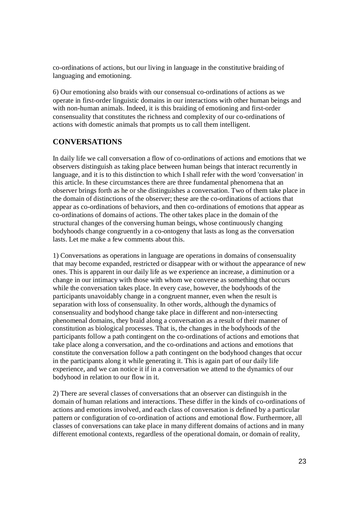co-ordinations of actions, but our living in language in the constitutive braiding of languaging and emotioning.

6) Our emotioning also braids with our consensual co-ordinations of actions as we operate in first-order linguistic domains in our interactions with other human beings and with non-human animals. Indeed, it is this braiding of emotioning and first-order consensuality that constitutes the richness and complexity of our co-ordinations of actions with domestic animals that prompts us to call them intelligent.

## **CONVERSATIONS**

In daily life we call conversation a flow of co-ordinations of actions and emotions that we observers distinguish as taking place between human beings that interact recurrently in language, and it is to this distinction to which I shall refer with the word 'conversation' in this article. In these circumstances there are three fundamental phenomena that an observer brings forth as he or she distinguishes a conversation. Two of them take place in the domain of distinctions of the observer; these are the co-ordinations of actions that appear as co-ordinations of behaviors, and then co-ordinations of emotions that appear as co-ordinations of domains of actions. The other takes place in the domain of the structural changes of the conversing human beings, whose continuously changing bodyhoods change congruently in a co-ontogeny that lasts as long as the conversation lasts. Let me make a few comments about this.

1) Conversations as operations in language are operations in domains of consensuality that may become expanded, restricted or disappear with or without the appearance of new ones. This is apparent in our daily life as we experience an increase, a diminution or a change in our intimacy with those with whom we converse as something that occurs while the conversation takes place. In every case, however, the bodyhoods of the participants unavoidably change in a congruent manner, even when the result is separation with loss of consensuality. In other words, although the dynamics of consensuality and bodyhood change take place in different and non-intersecting phenomenal domains, they braid along a conversation as a result of their manner of constitution as biological processes. That is, the changes in the bodyhoods of the participants follow a path contingent on the co-ordinations of actions and emotions that take place along a conversation, and the co-ordinations and actions and emotions that constitute the conversation follow a path contingent on the bodyhood changes that occur in the participants along it while generating it. This is again part of our daily life experience, and we can notice it if in a conversation we attend to the dynamics of our bodyhood in relation to our flow in it.

2) There are several classes of conversations that an observer can distinguish in the domain of human relations and interactions. These differ in the kinds of co-ordinations of actions and emotions involved, and each class of conversation is defined by a particular pattern or configuration of co-ordination of actions and emotional flow. Furthermore, all classes of conversations can take place in many different domains of actions and in many different emotional contexts, regardless of the operational domain, or domain of reality,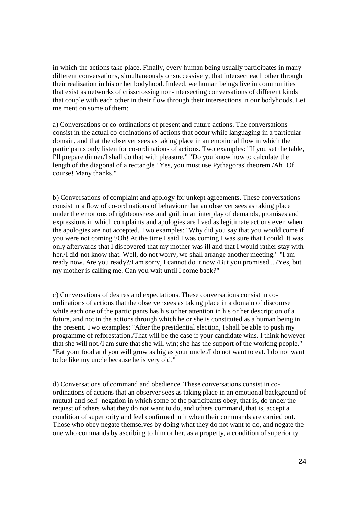in which the actions take place. Finally, every human being usually participates in many different conversations, simultaneously or successively, that intersect each other through their realisation in his or her bodyhood. Indeed, we human beings live in communities that exist as networks of crisscrossing non-intersecting conversations of different kinds that couple with each other in their flow through their intersections in our bodyhoods. Let me mention some of them:

a) Conversations or co-ordinations of present and future actions. The conversations consist in the actual co-ordinations of actions that occur while languaging in a particular domain, and that the observer sees as taking place in an emotional flow in which the participants only listen for co-ordinations of actions. Two examples: "If you set the table, I'll prepare dinner/I shall do that with pleasure." "Do you know how to calculate the length of the diagonal of a rectangle? Yes, you must use Pythagoras' theorem./Ah! Of course! Many thanks."

b) Conversations of complaint and apology for unkept agreements. These conversations consist in a flow of co-ordinations of behaviour that an observer sees as taking place under the emotions of righteousness and guilt in an interplay of demands, promises and expressions in which complaints and apologies are lived as legitimate actions even when the apologies are not accepted. Two examples: "Why did you say that you would come if you were not coming?/Oh! At the time I said I was coming I was sure that I could. It was only afterwards that I discovered that my mother was ill and that I would rather stay with her./I did not know that. Well, do not worry, we shall arrange another meeting." "I am ready now. Are you ready?/I am sorry, I cannot do it now./But you promised..../Yes, but my mother is calling me. Can you wait until I come back?"

c) Conversations of desires and expectations. These conversations consist in coordinations of actions that the observer sees as taking place in a domain of discourse while each one of the participants has his or her attention in his or her description of a future, and not in the actions through which he or she is constituted as a human being in the present. Two examples: "After the presidential election, I shall be able to push my programme of reforestation./That will be the case if your candidate wins. I think however that she will not./I am sure that she will win; she has the support of the working people." "Eat your food and you will grow as big as your uncle./I do not want to eat. I do not want to be like my uncle because he is very old."

d) Conversations of command and obedience. These conversations consist in coordinations of actions that an observer sees as taking place in an emotional background of mutual-and-self -negation in which some of the participants obey, that is, do under the request of others what they do not want to do, and others command, that is, accept a condition of superiority and feel confirmed in it when their commands are carried out. Those who obey negate themselves by doing what they do not want to do, and negate the one who commands by ascribing to him or her, as a property, a condition of superiority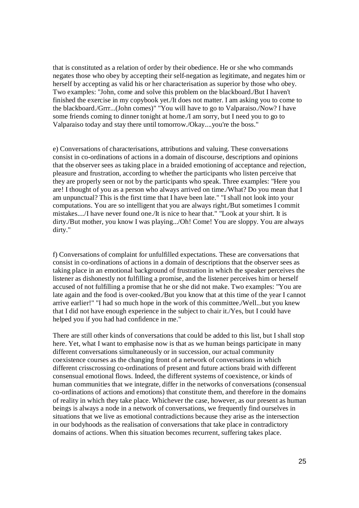that is constituted as a relation of order by their obedience. He or she who commands negates those who obey by accepting their self-negation as legitimate, and negates him or herself by accepting as valid his or her characterisation as superior by those who obey. Two examples: "John, come and solve this problem on the blackboard./But I haven't finished the exercise in my copybook yet./It does not matter. I am asking you to come to the blackboard./Grrr...(John comes)" "You will have to go to Valparaiso./Now? I have some friends coming to dinner tonight at home./I am sorry, but I need you to go to Valparaiso today and stay there until tomorrow./Okay....you're the boss."

e) Conversations of characterisations, attributions and valuing. These conversations consist in co-ordinations of actions in a domain of discourse, descriptions and opinions that the observer sees as taking place in a braided emotioning of acceptance and rejection, pleasure and frustration, according to whether the participants who listen perceive that they are properly seen or not by the participants who speak. Three examples: "Here you are! I thought of you as a person who always arrived on time./What? Do you mean that I am unpunctual? This is the first time that I have been late." "I shall not look into your computations. You are so intelligent that you are always right./But sometimes I commit mistakes..../I have never found one./It is nice to hear that." "Look at your shirt. It is dirty./But mother, you know I was playing.../Oh! Come! You are sloppy. You are always dirty."

f) Conversations of complaint for unfulfilled expectations. These are conversations that consist in co-ordinations of actions in a domain of descriptions that the observer sees as taking place in an emotional background of frustration in which the speaker perceives the listener as dishonestly not fulfilling a promise, and the listener perceives him or herself accused of not fulfilling a promise that he or she did not make. Two examples: "You are late again and the food is over-cooked./But you know that at this time of the year I cannot arrive earlier!" "I had so much hope in the work of this committee./Well...but you knew that I did not have enough experience in the subject to chair it./Yes, but I could have helped you if you had had confidence in me."

There are still other kinds of conversations that could be added to this list, but I shall stop here. Yet, what I want to emphasise now is that as we human beings participate in many different conversations simultaneously or in succession, our actual community coexistence courses as the changing front of a network of conversations in which different crisscrossing co-ordinations of present and future actions braid with different consensual emotional flows. Indeed, the different systems of coexistence, or kinds of human communities that we integrate, differ in the networks of conversations (consensual co-ordinations of actions and emotions) that constitute them, and therefore in the domains of reality in which they take place. Whichever the case, however, as our present as human beings is always a node in a network of conversations, we frequently find ourselves in situations that we live as emotional contradictions because they arise as the intersection in our bodyhoods as the realisation of conversations that take place in contradictory domains of actions. When this situation becomes recurrent, suffering takes place.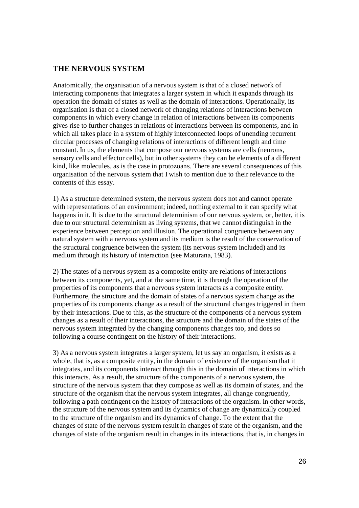## **THE NERVOUS SYSTEM**

Anatomically, the organisation of a nervous system is that of a closed network of interacting components that integrates a larger system in which it expands through its operation the domain of states as well as the domain of interactions. Operationally, its organisation is that of a closed network of changing relations of interactions between components in which every change in relation of interactions between its components gives rise to further changes in relations of interactions between its components, and in which all takes place in a system of highly interconnected loops of unending recurrent circular processes of changing relations of interactions of different length and time constant. In us, the elements that compose our nervous systems are cells (neurons, sensory cells and effector cells), but in other systems they can be elements of a different kind, like molecules, as is the case in protozoans. There are several consequences of this organisation of the nervous system that I wish to mention due to their relevance to the contents of this essay.

1) As a structure determined system, the nervous system does not and cannot operate with representations of an environment; indeed, nothing external to it can specify what happens in it. It is due to the structural determinism of our nervous system, or, better, it is due to our structural determinism as living systems, that we cannot distinguish in the experience between perception and illusion. The operational congruence between any natural system with a nervous system and its medium is the result of the conservation of the structural congruence between the system (its nervous system included) and its medium through its history of interaction (see Maturana, 1983).

2) The states of a nervous system as a composite entity are relations of interactions between its components, yet, and at the same time, it is through the operation of the properties of its components that a nervous system interacts as a composite entity. Furthermore, the structure and the domain of states of a nervous system change as the properties of its components change as a result of the structural changes triggered in them by their interactions. Due to this, as the structure of the components of a nervous system changes as a result of their interactions, the structure and the domain of the states of the nervous system integrated by the changing components changes too, and does so following a course contingent on the history of their interactions.

3) As a nervous system integrates a larger system, let us say an organism, it exists as a whole, that is, as a composite entity, in the domain of existence of the organism that it integrates, and its components interact through this in the domain of interactions in which this interacts. As a result, the structure of the components of a nervous system, the structure of the nervous system that they compose as well as its domain of states, and the structure of the organism that the nervous system integrates, all change congruently, following a path contingent on the history of interactions of the organism. In other words, the structure of the nervous system and its dynamics of change are dynamically coupled to the structure of the organism and its dynamics of change. To the extent that the changes of state of the nervous system result in changes of state of the organism, and the changes of state of the organism result in changes in its interactions, that is, in changes in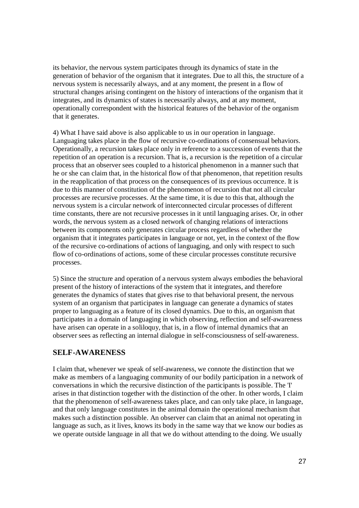its behavior, the nervous system participates through its dynamics of state in the generation of behavior of the organism that it integrates. Due to all this, the structure of a nervous system is necessarily always, and at any moment, the present in a flow of structural changes arising contingent on the history of interactions of the organism that it integrates, and its dynamics of states is necessarily always, and at any moment, operationally correspondent with the historical features of the behavior of the organism that it generates.

4) What I have said above is also applicable to us in our operation in language. Languaging takes place in the flow of recursive co-ordinations of consensual behaviors. Operationally, a recursion takes place only in reference to a succession of events that the repetition of an operation is a recursion. That is, a recursion is the repetition of a circular process that an observer sees coupled to a historical phenomenon in a manner such that he or she can claim that, in the historical flow of that phenomenon, that repetition results in the reapplication of that process on the consequences of its previous occurrence. It is due to this manner of constitution of the phenomenon of recursion that not all circular processes are recursive processes. At the same time, it is due to this that, although the nervous system is a circular network of interconnected circular processes of different time constants, there are not recursive processes in it until languaging arises. Or, in other words, the nervous system as a closed network of changing relations of interactions between its components only generates circular process regardless of whether the organism that it integrates participates in language or not, yet, in the context of the flow of the recursive co-ordinations of actions of languaging, and only with respect to such flow of co-ordinations of actions, some of these circular processes constitute recursive processes.

5) Since the structure and operation of a nervous system always embodies the behavioral present of the history of interactions of the system that it integrates, and therefore generates the dynamics of states that gives rise to that behavioral present, the nervous system of an organism that participates in language can generate a dynamics of states proper to languaging as a feature of its closed dynamics. Due to this, an organism that participates in a domain of languaging in which observing, reflection and self-awareness have arisen can operate in a soliloquy, that is, in a flow of internal dynamics that an observer sees as reflecting an internal dialogue in self-consciousness of self-awareness.

# **SELF-AWARENESS**

I claim that, whenever we speak of self-awareness, we connote the distinction that we make as members of a languaging community of our bodily participation in a network of conversations in which the recursive distinction of the participants is possible. The 'I' arises in that distinction together with the distinction of the other. In other words, I claim that the phenomenon of self-awareness takes place, and can only take place, in language, and that only language constitutes in the animal domain the operational mechanism that makes such a distinction possible. An observer can claim that an animal not operating in language as such, as it lives, knows its body in the same way that we know our bodies as we operate outside language in all that we do without attending to the doing. We usually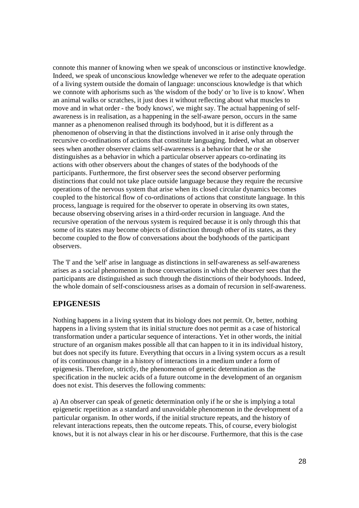connote this manner of knowing when we speak of unconscious or instinctive knowledge. Indeed, we speak of unconscious knowledge whenever we refer to the adequate operation of a living system outside the domain of language: unconscious knowledge is that which we connote with aphorisms such as 'the wisdom of the body' or 'to live is to know'. When an animal walks or scratches, it just does it without reflecting about what muscles to move and in what order - the 'body knows', we might say. The actual happening of selfawareness is in realisation, as a happening in the self-aware person, occurs in the same manner as a phenomenon realised through its bodyhood, but it is different as a phenomenon of observing in that the distinctions involved in it arise only through the recursive co-ordinations of actions that constitute languaging. Indeed, what an observer sees when another observer claims self-awareness is a behavior that he or she distinguishes as a behavior in which a particular observer appears co-ordinating its actions with other observers about the changes of states of the bodyhoods of the participants. Furthermore, the first observer sees the second observer performing distinctions that could not take place outside language because they require the recursive operations of the nervous system that arise when its closed circular dynamics becomes coupled to the historical flow of co-ordinations of actions that constitute language. In this process, language is required for the observer to operate in observing its own states, because observing observing arises in a third-order recursion in language. And the recursive operation of the nervous system is required because it is only through this that some of its states may become objects of distinction through other of its states, as they become coupled to the flow of conversations about the bodyhoods of the participant observers.

The 'I' and the 'self' arise in language as distinctions in self-awareness as self-awareness arises as a social phenomenon in those conversations in which the observer sees that the participants are distinguished as such through the distinctions of their bodyhoods. Indeed, the whole domain of self-consciousness arises as a domain of recursion in self-awareness.

#### **EPIGENESIS**

Nothing happens in a living system that its biology does not permit. Or, better, nothing happens in a living system that its initial structure does not permit as a case of historical transformation under a particular sequence of interactions. Yet in other words, the initial structure of an organism makes possible all that can happen to it in its individual history, but does not specify its future. Everything that occurs in a living system occurs as a result of its continuous change in a history of interactions in a medium under a form of epigenesis. Therefore, strictly, the phenomenon of genetic determination as the specification in the nucleic acids of a future outcome in the development of an organism does not exist. This deserves the following comments:

a) An observer can speak of genetic determination only if he or she is implying a total epigenetic repetition as a standard and unavoidable phenomenon in the development of a particular organism. In other words, if the initial structure repeats, and the history of relevant interactions repeats, then the outcome repeats. This, of course, every biologist knows, but it is not always clear in his or her discourse. Furthermore, that this is the case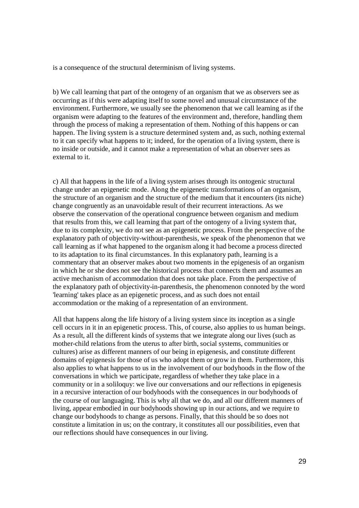is a consequence of the structural determinism of living systems.

b) We call learning that part of the ontogeny of an organism that we as observers see as occurring as if this were adapting itself to some novel and unusual circumstance of the environment. Furthermore, we usually see the phenomenon that we call learning as if the organism were adapting to the features of the environment and, therefore, handling them through the process of making a representation of them. Nothing of this happens or can happen. The living system is a structure determined system and, as such, nothing external to it can specify what happens to it; indeed, for the operation of a living system, there is no inside or outside, and it cannot make a representation of what an observer sees as external to it.

c) All that happens in the life of a living system arises through its ontogenic structural change under an epigenetic mode. Along the epigenetic transformations of an organism, the structure of an organism and the structure of the medium that it encounters (its niche) change congruently as an unavoidable result of their recurrent interactions. As we observe the conservation of the operational congruence between organism and medium that results from this, we call learning that part of the ontogeny of a living system that, due to its complexity, we do not see as an epigenetic process. From the perspective of the explanatory path of objectivity-without-parenthesis, we speak of the phenomenon that we call learning as if what happened to the organism along it had become a process directed to its adaptation to its final circumstances. In this explanatory path, learning is a commentary that an observer makes about two moments in the epigenesis of an organism in which he or she does not see the historical process that connects them and assumes an active mechanism of accommodation that does not take place. From the perspective of the explanatory path of objectivity-in-parenthesis, the phenomenon connoted by the word 'learning' takes place as an epigenetic process, and as such does not entail accommodation or the making of a representation of an environment.

All that happens along the life history of a living system since its inception as a single cell occurs in it in an epigenetic process. This, of course, also applies to us human beings. As a result, all the different kinds of systems that we integrate along our lives (such as mother-child relations from the uterus to after birth, social systems, communities or cultures) arise as different manners of our being in epigenesis, and constitute different domains of epigenesis for those of us who adopt them or grow in them. Furthermore, this also applies to what happens to us in the involvement of our bodyhoods in the flow of the conversations in which we participate, regardless of whether they take place in a community or in a soliloquy: we live our conversations and our reflections in epigenesis in a recursive interaction of our bodyhoods with the consequences in our bodyhoods of the course of our languaging. This is why all that we do, and all our different manners of living, appear embodied in our bodyhoods showing up in our actions, and we require to change our bodyhoods to change as persons. Finally, that this should be so does not constitute a limitation in us; on the contrary, it constitutes all our possibilities, even that our reflections should have consequences in our living.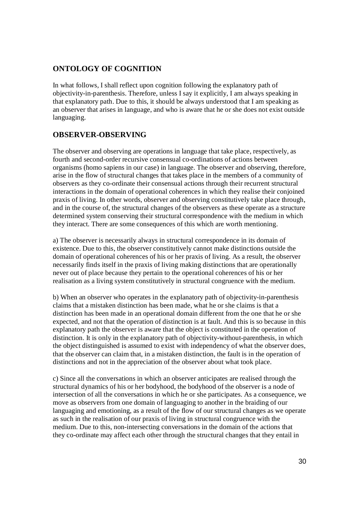# **ONTOLOGY OF COGNITION**

In what follows, I shall reflect upon cognition following the explanatory path of objectivity-in-parenthesis. Therefore, unless I say it explicitly, I am always speaking in that explanatory path. Due to this, it should be always understood that I am speaking as an observer that arises in language, and who is aware that he or she does not exist outside languaging.

# **OBSERVER-OBSERVING**

The observer and observing are operations in language that take place, respectively, as fourth and second-order recursive consensual co-ordinations of actions between organisms (homo sapiens in our case) in language. The observer and observing, therefore, arise in the flow of structural changes that takes place in the members of a community of observers as they co-ordinate their consensual actions through their recurrent structural interactions in the domain of operational coherences in which they realise their conjoined praxis of living. In other words, observer and observing constitutively take place through, and in the course of, the structural changes of the observers as these operate as a structure determined system conserving their structural correspondence with the medium in which they interact. There are some consequences of this which are worth mentioning.

a) The observer is necessarily always in structural correspondence in its domain of existence. Due to this, the observer constitutively cannot make distinctions outside the domain of operational coherences of his or her praxis of living. As a result, the observer necessarily finds itself in the praxis of living making distinctions that are operationally never out of place because they pertain to the operational coherences of his or her realisation as a living system constitutively in structural congruence with the medium.

b) When an observer who operates in the explanatory path of objectivity-in-parenthesis claims that a mistaken distinction has been made, what he or she claims is that a distinction has been made in an operational domain different from the one that he or she expected, and not that the operation of distinction is at fault. And this is so because in this explanatory path the observer is aware that the object is constituted in the operation of distinction. It is only in the explanatory path of objectivity-without-parenthesis, in which the object distinguished is assumed to exist with independency of what the observer does, that the observer can claim that, in a mistaken distinction, the fault is in the operation of distinctions and not in the appreciation of the observer about what took place.

c) Since all the conversations in which an observer anticipates are realised through the structural dynamics of his or her bodyhood, the bodyhood of the observer is a node of intersection of all the conversations in which he or she participates. As a consequence, we move as observers from one domain of languaging to another in the braiding of our languaging and emotioning, as a result of the flow of our structural changes as we operate as such in the realisation of our praxis of living in structural congruence with the medium. Due to this, non-intersecting conversations in the domain of the actions that they co-ordinate may affect each other through the structural changes that they entail in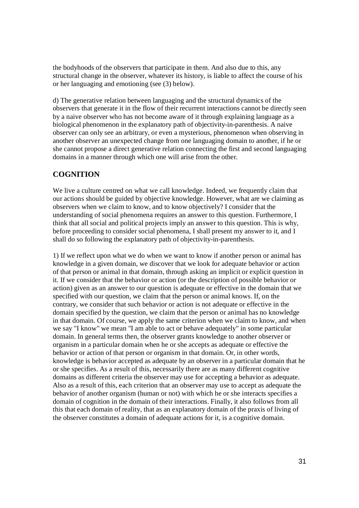the bodyhoods of the observers that participate in them. And also due to this, any structural change in the observer, whatever its history, is liable to affect the course of his or her languaging and emotioning (see (3) below).

d) The generative relation between languaging and the structural dynamics of the observers that generate it in the flow of their recurrent interactions cannot be directly seen by a naive observer who has not become aware of it through explaining language as a biological phenomenon in the explanatory path of objectivity-in-parenthesis. A naive observer can only see an arbitrary, or even a mysterious, phenomenon when observing in another observer an unexpected change from one languaging domain to another, if he or she cannot propose a direct generative relation connecting the first and second languaging domains in a manner through which one will arise from the other.

# **COGNITION**

We live a culture centred on what we call knowledge. Indeed, we frequently claim that our actions should be guided by objective knowledge. However, what are we claiming as observers when we claim to know, and to know objectively? I consider that the understanding of social phenomena requires an answer to this question. Furthermore, I think that all social and political projects imply an answer to this question. This is why, before proceeding to consider social phenomena, I shall present my answer to it, and I shall do so following the explanatory path of objectivity-in-parenthesis.

1) If we reflect upon what we do when we want to know if another person or animal has knowledge in a given domain, we discover that we look for adequate behavior or action of that person or animal in that domain, through asking an implicit or explicit question in it. If we consider that the behavior or action (or the description of possible behavior or action) given as an answer to our question is adequate or effective in the domain that we specified with our question, we claim that the person or animal knows. If, on the contrary, we consider that such behavior or action is not adequate or effective in the domain specified by the question, we claim that the person or animal has no knowledge in that domain. Of course, we apply the same criterion when we claim to know, and when we say "I know" we mean "I am able to act or behave adequately" in some particular domain. In general terms then, the observer grants knowledge to another observer or organism in a particular domain when he or she accepts as adequate or effective the behavior or action of that person or organism in that domain. Or, in other words, knowledge is behavior accepted as adequate by an observer in a particular domain that he or she specifies. As a result of this, necessarily there are as many different cognitive domains as different criteria the observer may use for accepting a behavior as adequate. Also as a result of this, each criterion that an observer may use to accept as adequate the behavior of another organism (human or not) with which he or she interacts specifies a domain of cognition in the domain of their interactions. Finally, it also follows from all this that each domain of reality, that as an explanatory domain of the praxis of living of the observer constitutes a domain of adequate actions for it, is a cognitive domain.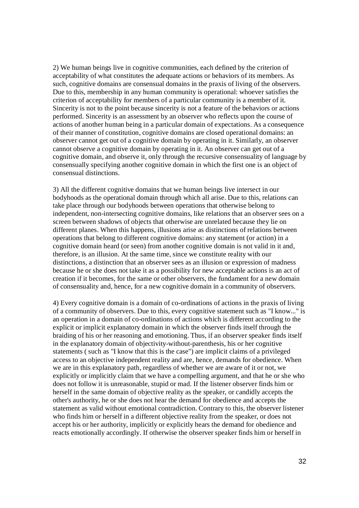2) We human beings live in cognitive communities, each defined by the criterion of acceptability of what constitutes the adequate actions or behaviors of its members. As such, cognitive domains are consensual domains in the praxis of living of the observers. Due to this, membership in any human community is operational: whoever satisfies the criterion of acceptability for members of a particular community is a member of it. Sincerity is not to the point because sincerity is not a feature of the behaviors or actions performed. Sincerity is an assessment by an observer who reflects upon the course of actions of another human being in a particular domain of expectations. As a consequence of their manner of constitution, cognitive domains are closed operational domains: an observer cannot get out of a cognitive domain by operating in it. Similarly, an observer cannot observe a cognitive domain by operating in it. An observer can get out of a cognitive domain, and observe it, only through the recursive consensuality of language by consensually specifying another cognitive domain in which the first one is an object of consensual distinctions.

3) All the different cognitive domains that we human beings live intersect in our bodyhoods as the operational domain through which all arise. Due to this, relations can take place through our bodyhoods between operations that otherwise belong to independent, non-intersecting cognitive domains, like relations that an observer sees on a screen between shadows of objects that otherwise are unrelated because they lie on different planes. When this happens, illusions arise as distinctions of relations between operations that belong to different cognitive domains: any statement (or action) in a cognitive domain heard (or seen) from another cognitive domain is not valid in it and, therefore, is an illusion. At the same time, since we constitute reality with our distinctions, a distinction that an observer sees as an illusion or expression of madness because he or she does not take it as a possibility for new acceptable actions is an act of creation if it becomes, for the same or other observers, the fundament for a new domain of consensuality and, hence, for a new cognitive domain in a community of observers.

4) Every cognitive domain is a domain of co-ordinations of actions in the praxis of living of a community of observers. Due to this, every cognitive statement such as "I know..." is an operation in a domain of co-ordinations of actions which is different according to the explicit or implicit explanatory domain in which the observer finds itself through the braiding of his or her reasoning and emotioning. Thus, if an observer speaker finds itself in the explanatory domain of objectivity-without-parenthesis, his or her cognitive statements ( such as "I know that this is the case") are implicit claims of a privileged access to an objective independent reality and are, hence, demands for obedience. When we are in this explanatory path, regardless of whether we are aware of it or not, we explicitly or implicitly claim that we have a compelling argument, and that he or she who does not follow it is unreasonable, stupid or mad. If the listener observer finds him or herself in the same domain of objective reality as the speaker, or candidly accepts the other's authority, he or she does not hear the demand for obedience and accepts the statement as valid without emotional contradiction. Contrary to this, the observer listener who finds him or herself in a different objective reality from the speaker, or does not accept his or her authority, implicitly or explicitly hears the demand for obedience and reacts emotionally accordingly. If otherwise the observer speaker finds him or herself in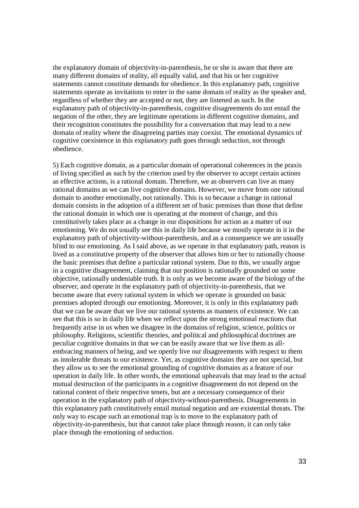the explanatory domain of objectivity-in-parenthesis, he or she is aware that there are many different domains of reality, all equally valid, and that his or her cognitive statements cannot constitute demands for obedience. In this explanatory path, cognitive statements operate as invitations to enter in the same domain of reality as the speaker and, regardless of whether they are accepted or not, they are listened as such. In the explanatory path of objectivity-in-parenthesis, cognitive disagreements do not entail the negation of the other, they are legitimate operations in different cognitive domains, and their recognition constitutes the possibility for a conversation that may lead to a new domain of reality where the disagreeing parties may coexist. The emotional dynamics of cognitive coexistence in this explanatory path goes through seduction, not through obedience.

5) Each cognitive domain, as a particular domain of operational coherences in the praxis of living specified as such by the criterion used by the observer to accept certain actions as effective actions, is a rational domain. Therefore, we as observers can live as many rational domains as we can live cognitive domains. However, we move from one rational domain to another emotionally, not rationally. This is so because a change in rational domain consists in the adoption of a different set of basic premises than those that define the rational domain in which one is operating at the moment of change, and this constitutively takes place as a change in our dispositions for action as a matter of our emotioning. We do not usually see this in daily life because we mostly operate in it in the explanatory path of objectivity-without-parenthesis, and as a consequence we are usually blind to our emotioning. As I said above, as we operate in that explanatory path, reason is lived as a constitutive property of the observer that allows him or her to rationally choose the basic premises that define a particular rational system. Due to this, we usually argue in a cognitive disagreement, claiming that our position is rationally grounded on some objective, rationally undeniable truth. It is only as we become aware of the biology of the observer, and operate in the explanatory path of objectivity-in-parenthesis, that we become aware that every rational system in which we operate is grounded on basic premises adopted through our emotioning. Moreover, it is only in this explanatory path that we can be aware that we live our rational systems as manners of existence. We can see that this is so in daily life when we reflect upon the strong emotional reactions that frequently arise in us when we disagree in the domains of religion, science, politics or philosophy. Religions, scientific theories, and political and philosophical doctrines are peculiar cognitive domains in that we can be easily aware that we live them as allembracing manners of being, and we openly live our disagreements with respect to them as intolerable threats to our existence. Yet, as cognitive domains they are not special, but they allow us to see the emotional grounding of cognitive domains as a feature of our operation in daily life. In other words, the emotional upheavals that may lead to the actual mutual destruction of the participants in a cognitive disagreement do not depend on the rational content of their respective tenets, but are a necessary consequence of their operation in the explanatory path of objectivity-without-parenthesis. Disagreements in this explanatory path constitutively entail mutual negation and are existential threats. The only way to escape such an emotional trap is to move to the explanatory path of objectivity-in-parenthesis, but that cannot take place through reason, it can only take place through the emotioning of seduction.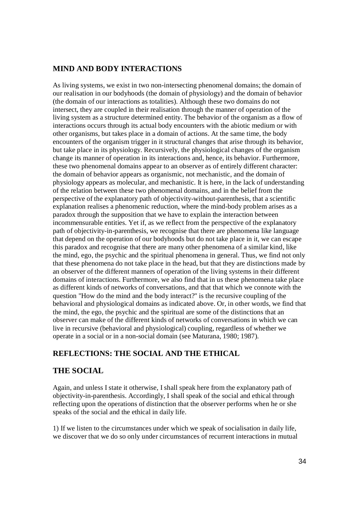## **MIND AND BODY INTERACTIONS**

As living systems, we exist in two non-intersecting phenomenal domains; the domain of our realisation in our bodyhoods (the domain of physiology) and the domain of behavior (the domain of our interactions as totalities). Although these two domains do not intersect, they are coupled in their realisation through the manner of operation of the living system as a structure determined entity. The behavior of the organism as a flow of interactions occurs through its actual body encounters with the abiotic medium or with other organisms, but takes place in a domain of actions. At the same time, the body encounters of the organism trigger in it structural changes that arise through its behavior, but take place in its physiology. Recursively, the physiological changes of the organism change its manner of operation in its interactions and, hence, its behavior. Furthermore, these two phenomenal domains appear to an observer as of entirely different character: the domain of behavior appears as organismic, not mechanistic, and the domain of physiology appears as molecular, and mechanistic. It is here, in the lack of understanding of the relation between these two phenomenal domains, and in the belief from the perspective of the explanatory path of objectivity-without-parenthesis, that a scientific explanation realises a phenomenic reduction, where the mind-body problem arises as a paradox through the supposition that we have to explain the interaction between incommensurable entities. Yet if, as we reflect from the perspective of the explanatory path of objectivity-in-parenthesis, we recognise that there are phenomena like language that depend on the operation of our bodyhoods but do not take place in it, we can escape this paradox and recognise that there are many other phenomena of a similar kind, like the mind, ego, the psychic and the spiritual phenomena in general. Thus, we find not only that these phenomena do not take place in the head, but that they are distinctions made by an observer of the different manners of operation of the living systems in their different domains of interactions. Furthermore, we also find that in us these phenomena take place as different kinds of networks of conversations, and that that which we connote with the question "How do the mind and the body interact?" is the recursive coupling of the behavioral and physiological domains as indicated above. Or, in other words, we find that the mind, the ego, the psychic and the spiritual are some of the distinctions that an observer can make of the different kinds of networks of conversations in which we can live in recursive (behavioral and physiological) coupling, regardless of whether we operate in a social or in a non-social domain (see Maturana, 1980; 1987).

# **REFLECTIONS: THE SOCIAL AND THE ETHICAL**

#### **THE SOCIAL**

Again, and unless I state it otherwise, I shall speak here from the explanatory path of objectivity-in-parenthesis. Accordingly, I shall speak of the social and ethical through reflecting upon the operations of distinction that the observer performs when he or she speaks of the social and the ethical in daily life.

1) If we listen to the circumstances under which we speak of socialisation in daily life, we discover that we do so only under circumstances of recurrent interactions in mutual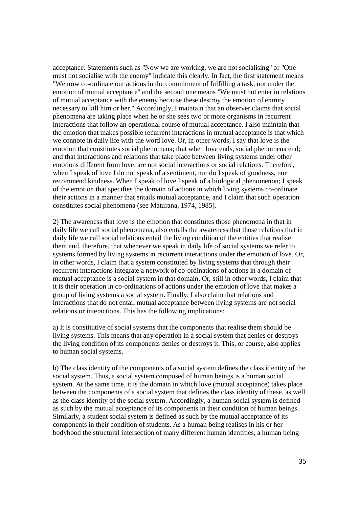acceptance. Statements such as "Now we are working, we are not socialising" or "One must not socialise with the enemy" indicate this clearly. In fact, the first statement means "We now co-ordinate our actions in the commitment of fulfilling a task, not under the emotion of mutual acceptance" and the second one means "We must not enter in relations of mutual acceptance with the enemy because these destroy the emotion of enmity necessary to kill him or her." Accordingly, I maintain that an observer claims that social phenomena are taking place when he or she sees two or more organisms in recurrent interactions that follow an operational course of mutual acceptance. I also maintain that the emotion that makes possible recurrent interactions in mutual acceptance is that which we connote in daily life with the word love. Or, in other words, I say that love is the emotion that constitutes social phenomena; that when love ends, social phenomena end; and that interactions and relations that take place between living systems under other emotions different from love, are not social interactions or social relations. Therefore, when I speak of love I do not speak of a sentiment, nor do I speak of goodness, nor recommend kindness. When I speak of love I speak of a biological phenomenon; I speak of the emotion that specifies the domain of actions in which living systems co-ordinate their actions in a manner that entails mutual acceptance, and I claim that such operation constitutes social phenomena (see Maturana, 1974, 1985).

2) The awareness that love is the emotion that constitutes those phenomena in that in daily life we call social phenomena, also entails the awareness that those relations that in daily life we call social relations entail the living condition of the entities that realise them and, therefore, that whenever we speak in daily life of social systems we refer to systems formed by living systems in recurrent interactions under the emotion of love. Or, in other words, I claim that a system constituted by living systems that through their recurrent interactions integrate a network of co-ordinations of actions in a domain of mutual acceptance is a social system in that domain. Or, still in other words, I claim that it is their operation in co-ordinations of actions under the emotion of love that makes a group of living systems a social system. Finally, I also claim that relations and interactions that do not entail mutual acceptance between living systems are not social relations or interactions. This has the following implications:

a) It is constitutive of social systems that the components that realise them should be living systems. This means that any operation in a social system that denies or destroys the living condition of its components denies or destroys it. This, or course, also applies to human social systems.

b) The class identity of the components of a social system defines the class identity of the social system. Thus, a social system composed of human beings is a human social system. At the same time, it is the domain in which love (mutual acceptance) takes place between the components of a social system that defines the class identity of these, as well as the class identity of the social system. Accordingly, a human social system is defined as such by the mutual acceptance of its components in their condition of human beings. Similarly, a student social system is defined as such by the mutual acceptance of its components in their condition of students. As a human being realises in his or her bodyhood the structural intersection of many different human identities, a human being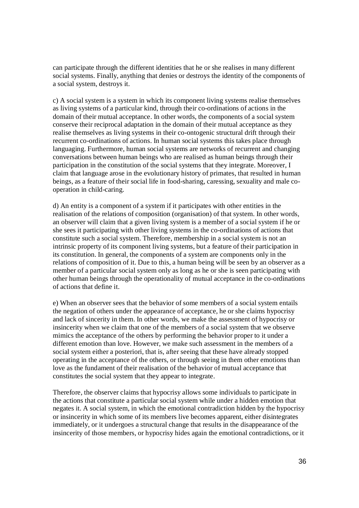can participate through the different identities that he or she realises in many different social systems. Finally, anything that denies or destroys the identity of the components of a social system, destroys it.

c) A social system is a system in which its component living systems realise themselves as living systems of a particular kind, through their co-ordinations of actions in the domain of their mutual acceptance. In other words, the components of a social system conserve their reciprocal adaptation in the domain of their mutual acceptance as they realise themselves as living systems in their co-ontogenic structural drift through their recurrent co-ordinations of actions. In human social systems this takes place through languaging. Furthermore, human social systems are networks of recurrent and changing conversations between human beings who are realised as human beings through their participation in the constitution of the social systems that they integrate. Moreover, I claim that language arose in the evolutionary history of primates, that resulted in human beings, as a feature of their social life in food-sharing, caressing, sexuality and male cooperation in child-caring.

d) An entity is a component of a system if it participates with other entities in the realisation of the relations of composition (organisation) of that system. In other words, an observer will claim that a given living system is a member of a social system if he or she sees it participating with other living systems in the co-ordinations of actions that constitute such a social system. Therefore, membership in a social system is not an intrinsic property of its component living systems, but a feature of their participation in its constitution. In general, the components of a system are components only in the relations of composition of it. Due to this, a human being will be seen by an observer as a member of a particular social system only as long as he or she is seen participating with other human beings through the operationality of mutual acceptance in the co-ordinations of actions that define it.

e) When an observer sees that the behavior of some members of a social system entails the negation of others under the appearance of acceptance, he or she claims hypocrisy and lack of sincerity in them. In other words, we make the assessment of hypocrisy or insincerity when we claim that one of the members of a social system that we observe mimics the acceptance of the others by performing the behavior proper to it under a different emotion than love. However, we make such assessment in the members of a social system either a posteriori, that is, after seeing that these have already stopped operating in the acceptance of the others, or through seeing in them other emotions than love as the fundament of their realisation of the behavior of mutual acceptance that constitutes the social system that they appear to integrate.

Therefore, the observer claims that hypocrisy allows some individuals to participate in the actions that constitute a particular social system while under a hidden emotion that negates it. A social system, in which the emotional contradiction hidden by the hypocrisy or insincerity in which some of its members live becomes apparent, either disintegrates immediately, or it undergoes a structural change that results in the disappearance of the insincerity of those members, or hypocrisy hides again the emotional contradictions, or it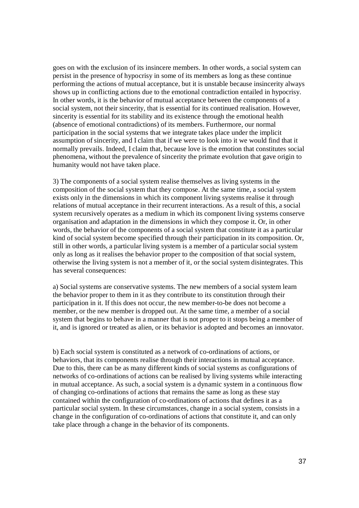goes on with the exclusion of its insincere members. In other words, a social system can persist in the presence of hypocrisy in some of its members as long as these continue performing the actions of mutual acceptance, but it is unstable because insincerity always shows up in conflicting actions due to the emotional contradiction entailed in hypocrisy. In other words, it is the behavior of mutual acceptance between the components of a social system, not their sincerity, that is essential for its continued realisation. However, sincerity is essential for its stability and its existence through the emotional health (absence of emotional contradictions) of its members. Furthermore, our normal participation in the social systems that we integrate takes place under the implicit assumption of sincerity, and I claim that if we were to look into it we would find that it normally prevails. Indeed, I claim that, because love is the emotion that constitutes social phenomena, without the prevalence of sincerity the primate evolution that gave origin to humanity would not have taken place.

3) The components of a social system realise themselves as living systems in the composition of the social system that they compose. At the same time, a social system exists only in the dimensions in which its component living systems realise it through relations of mutual acceptance in their recurrent interactions. As a result of this, a social system recursively operates as a medium in which its component living systems conserve organisation and adaptation in the dimensions in which they compose it. Or, in other words, the behavior of the components of a social system that constitute it as a particular kind of social system become specified through their participation in its composition. Or, still in other words, a particular living system is a member of a particular social system only as long as it realises the behavior proper to the composition of that social system, otherwise the living system is not a member of it, or the social system disintegrates. This has several consequences:

a) Social systems are conservative systems. The new members of a social system learn the behavior proper to them in it as they contribute to its constitution through their participation in it. If this does not occur, the new member-to-be does not become a member, or the new member is dropped out. At the same time, a member of a social system that begins to behave in a manner that is not proper to it stops being a member of it, and is ignored or treated as alien, or its behavior is adopted and becomes an innovator.

b) Each social system is constituted as a network of co-ordinations of actions, or behaviors, that its components realise through their interactions in mutual acceptance. Due to this, there can be as many different kinds of social systems as configurations of networks of co-ordinations of actions can be realised by living systems while interacting in mutual acceptance. As such, a social system is a dynamic system in a continuous flow of changing co-ordinations of actions that remains the same as long as these stay contained within the configuration of co-ordinations of actions that defines it as a particular social system. In these circumstances, change in a social system, consists in a change in the configuration of co-ordinations of actions that constitute it, and can only take place through a change in the behavior of its components.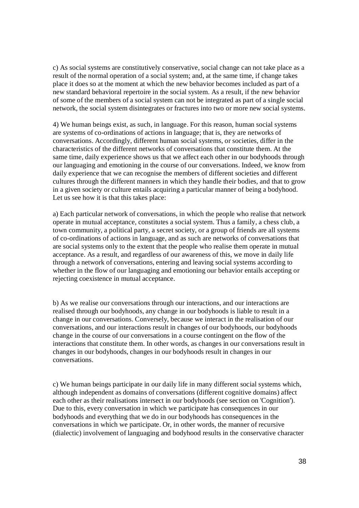c) As social systems are constitutively conservative, social change can not take place as a result of the normal operation of a social system; and, at the same time, if change takes place it does so at the moment at which the new behavior becomes included as part of a new standard behavioral repertoire in the social system. As a result, if the new behavior of some of the members of a social system can not be integrated as part of a single social network, the social system disintegrates or fractures into two or more new social systems.

4) We human beings exist, as such, in language. For this reason, human social systems are systems of co-ordinations of actions in language; that is, they are networks of conversations. Accordingly, different human social systems, or societies, differ in the characteristics of the different networks of conversations that constitute them. At the same time, daily experience shows us that we affect each other in our bodyhoods through our languaging and emotioning in the course of our conversations. Indeed, we know from daily experience that we can recognise the members of different societies and different cultures through the different manners in which they handle their bodies, and that to grow in a given society or culture entails acquiring a particular manner of being a bodyhood. Let us see how it is that this takes place:

a) Each particular network of conversations, in which the people who realise that network operate in mutual acceptance, constitutes a social system. Thus a family, a chess club, a town community, a political party, a secret society, or a group of friends are all systems of co-ordinations of actions in language, and as such are networks of conversations that are social systems only to the extent that the people who realise them operate in mutual acceptance. As a result, and regardless of our awareness of this, we move in daily life through a network of conversations, entering and leaving social systems according to whether in the flow of our languaging and emotioning our behavior entails accepting or rejecting coexistence in mutual acceptance.

b) As we realise our conversations through our interactions, and our interactions are realised through our bodyhoods, any change in our bodyhoods is liable to result in a change in our conversations. Conversely, because we interact in the realisation of our conversations, and our interactions result in changes of our bodyhoods, our bodyhoods change in the course of our conversations in a course contingent on the flow of the interactions that constitute them. In other words, as changes in our conversations result in changes in our bodyhoods, changes in our bodyhoods result in changes in our conversations.

c) We human beings participate in our daily life in many different social systems which, although independent as domains of conversations (different cognitive domains) affect each other as their realisations intersect in our bodyhoods (see section on 'Cognition'). Due to this, every conversation in which we participate has consequences in our bodyhoods and everything that we do in our bodyhoods has consequences in the conversations in which we participate. Or, in other words, the manner of recursive (dialectic) involvement of languaging and bodyhood results in the conservative character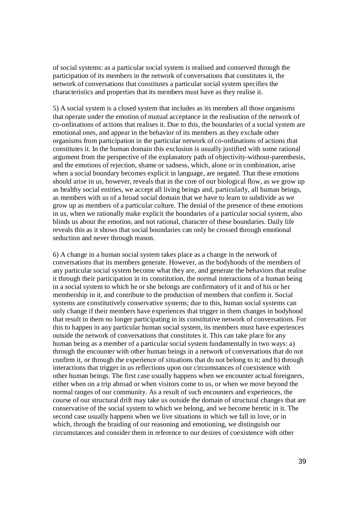of social systems: as a particular social system is realised and conserved through the participation of its members in the network of conversations that constitutes it, the network of conversations that constitutes a particular social system specifies the characteristics and properties that its members must have as they realise it.

5) A social system is a closed system that includes as its members all those organisms that operate under the emotion of mutual acceptance in the realisation of the network of co-ordinations of actions that realises it. Due to this, the boundaries of a social system are emotional ones, and appear in the behavior of its members as they exclude other organisms from participation in the particular network of co-ordinations of actions that constitutes it. In the human domain this exclusion is usually justified with some rational argument from the perspective of the explanatory path of objectivity-without-parenthesis, and the emotions of rejection, shame or sadness, which, alone or in combination, arise when a social boundary becomes explicit in language, are negated. That these emotions should arise in us, however, reveals that in the core of our biological flow, as we grow up as healthy social entities, we accept all living beings and, particularly, all human beings, as members with us of a broad social domain that we have to learn to subdivide as we grow up as members of a particular culture. The denial of the presence of these emotions in us, when we rationally make explicit the boundaries of a particular social system, also blinds us about the emotion, and not rational, character of these boundaries. Daily life reveals this as it shows that social boundaries can only be crossed through emotional seduction and never through reason.

6) A change in a human social system takes place as a change in the network of conversations that its members generate. However, as the bodyhoods of the members of any particular social system become what they are, and generate the behaviors that realise it through their participation in its constitution, the normal interactions of a human being in a social system to which he or she belongs are confirmatory of it and of his or her membership in it, and contribute to the production of members that confirm it. Social systems are constitutively conservative systems; due to this, human social systems can only change if their members have experiences that trigger in them changes in bodyhood that result in them no longer participating in its constitutive network of conversations. For this to happen in any particular human social system, its members must have experiences outside the network of conversations that constitutes it. This can take place for any human being as a member of a particular social system fundamentally in two ways: a) through the encounter with other human beings in a network of conversations that do not confirm it, or through the experience of situations that do not belong to it; and b) through interactions that trigger in us reflections upon our circumstances of coexistence with other human beings. The first case usually happens when we encounter actual foreigners, either when on a trip abroad or when visitors come to us, or when we move beyond the normal ranges of our community. As a result of such encounters and experiences, the course of our structural drift may take us outside the domain of structural changes that are conservative of the social system to which we belong, and we become heretic in it. The second case usually happens when we live situations in which we fall in love, or in which, through the braiding of our reasoning and emotioning, we distinguish our circumstances and consider them in reference to our desires of coexistence with other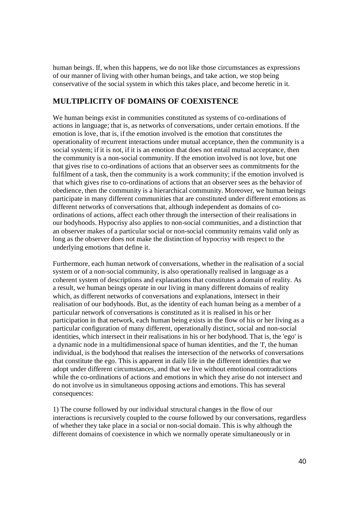human beings. If, when this happens, we do not like those circumstances as expressions of our manner of living with other human beings, and take action, we stop being conservative of the social system in which this takes place, and become heretic in it.

# **MULTIPLICITY OF DOMAINS OF COEXISTENCE**

We human beings exist in communities constituted as systems of co-ordinations of actions in language; that is, as networks of conversations, under certain emotions. If the emotion is love, that is, if the emotion involved is the emotion that constitutes the operationality of recurrent interactions under mutual acceptance, then the community is a social system; if it is not, if it is an emotion that does not entail mutual acceptance, then the community is a non-social community. If the emotion involved is not love, but one that gives rise to co-ordinations of actions that an observer sees as commitments for the fulfilment of a task, then the community is a work community; if the emotion involved is that which gives rise to co-ordinations of actions that an observer sees as the behavior of obedience, then the community is a hierarchical community. Moreover, we human beings participate in many different communities that are constituted under different emotions as different networks of conversations that, although independent as domains of coordinations of actions, affect each other through the intersection of their realisations in our bodyhoods. Hypocrisy also applies to non-social communities, and a distinction that an observer makes of a particular social or non-social community remains valid only as long as the observer does not make the distinction of hypocrisy with respect to the underlying emotions that define it.

Furthermore, each human network of conversations, whether in the realisation of a social system or of a non-social community, is also operationally realised in language as a coherent system of descriptions and explanations that constitutes a domain of reality. As a result, we human beings operate in our living in many different domains of reality which, as different networks of conversations and explanations, intersect in their realisation of our bodyhoods. But, as the identity of each human being as a member of a particular network of conversations is constituted as it is realised in his or her participation in that network, each human being exists in the flow of his or her living as a particular configuration of many different, operationally distinct, social and non-social identities, which intersect in their realisations in his or her bodyhood. That is, the 'ego' is a dynamic node in a multidimensional space of human identities, and the 'I', the human individual, is the bodyhood that realises the intersection of the networks of conversations that constitute the ego. This is apparent in daily life in the different identities that we adopt under different circumstances, and that we live without emotional contradictions while the co-ordinations of actions and emotions in which they arise do not intersect and do not involve us in simultaneous opposing actions and emotions. This has several consequences:

1) The course followed by our individual structural changes in the flow of our interactions is recursively coupled to the course followed by our conversations, regardless of whether they take place in a social or non-social domain. This is why although the different domains of coexistence in which we normally operate simultaneously or in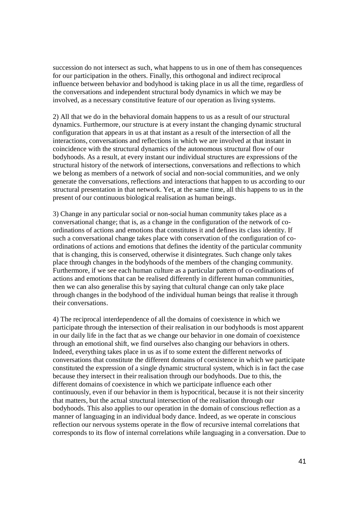succession do not intersect as such, what happens to us in one of them has consequences for our participation in the others. Finally, this orthogonal and indirect reciprocal influence between behavior and bodyhood is taking place in us all the time, regardless of the conversations and independent structural body dynamics in which we may be involved, as a necessary constitutive feature of our operation as living systems.

2) All that we do in the behavioral domain happens to us as a result of our structural dynamics. Furthermore, our structure is at every instant the changing dynamic structural configuration that appears in us at that instant as a result of the intersection of all the interactions, conversations and reflections in which we are involved at that instant in coincidence with the structural dynamics of the autonomous structural flow of our bodyhoods. As a result, at every instant our individual structures are expressions of the structural history of the network of intersections, conversations and reflections to which we belong as members of a network of social and non-social communities, and we only generate the conversations, reflections and interactions that happen to us according to our structural presentation in that network. Yet, at the same time, all this happens to us in the present of our continuous biological realisation as human beings.

3) Change in any particular social or non-social human community takes place as a conversational change; that is, as a change in the configuration of the network of coordinations of actions and emotions that constitutes it and defines its class identity. If such a conversational change takes place with conservation of the configuration of coordinations of actions and emotions that defines the identity of the particular community that is changing, this is conserved, otherwise it disintegrates. Such change only takes place through changes in the bodyhoods of the members of the changing community. Furthermore, if we see each human culture as a particular pattern of co-ordinations of actions and emotions that can be realised differently in different human communities, then we can also generalise this by saying that cultural change can only take place through changes in the bodyhood of the individual human beings that realise it through their conversations.

4) The reciprocal interdependence of all the domains of coexistence in which we participate through the intersection of their realisation in our bodyhoods is most apparent in our daily life in the fact that as we change our behavior in one domain of coexistence through an emotional shift, we find ourselves also changing our behaviors in others. Indeed, everything takes place in us as if to some extent the different networks of conversations that constitute the different domains of coexistence in which we participate constituted the expression of a single dynamic structural system, which is in fact the case because they intersect in their realisation through our bodyhoods. Due to this, the different domains of coexistence in which we participate influence each other continuously, even if our behavior in them is hypocritical, because it is not their sincerity that matters, but the actual structural intersection of the realisation through our bodyhoods. This also applies to our operation in the domain of conscious reflection as a manner of languaging in an individual body dance. Indeed, as we operate in conscious reflection our nervous systems operate in the flow of recursive internal correlations that corresponds to its flow of internal correlations while languaging in a conversation. Due to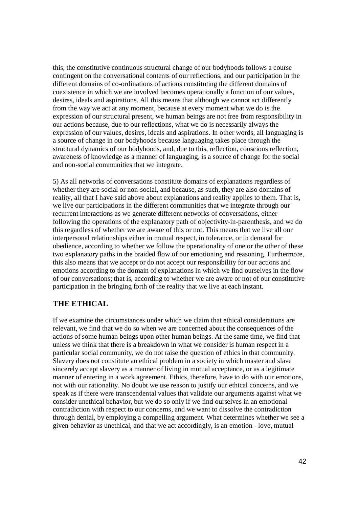this, the constitutive continuous structural change of our bodyhoods follows a course contingent on the conversational contents of our reflections, and our participation in the different domains of co-ordinations of actions constituting the different domains of coexistence in which we are involved becomes operationally a function of our values, desires, ideals and aspirations. All this means that although we cannot act differently from the way we act at any moment, because at every moment what we do is the expression of our structural present, we human beings are not free from responsibility in our actions because, due to our reflections, what we do is necessarily always the expression of our values, desires, ideals and aspirations. In other words, all languaging is a source of change in our bodyhoods because languaging takes place through the structural dynamics of our bodyhoods, and, due to this, reflection, conscious reflection, awareness of knowledge as a manner of languaging, is a source of change for the social and non-social communities that we integrate.

5) As all networks of conversations constitute domains of explanations regardless of whether they are social or non-social, and because, as such, they are also domains of reality, all that I have said above about explanations and reality applies to them. That is, we live our participations in the different communities that we integrate through our recurrent interactions as we generate different networks of conversations, either following the operations of the explanatory path of objectivity-in-parenthesis, and we do this regardless of whether we are aware of this or not. This means that we live all our interpersonal relationships either in mutual respect, in tolerance, or in demand for obedience, according to whether we follow the operationality of one or the other of these two explanatory paths in the braided flow of our emotioning and reasoning. Furthermore, this also means that we accept or do not accept our responsibility for our actions and emotions according to the domain of explanations in which we find ourselves in the flow of our conversations; that is, according to whether we are aware or not of our constitutive participation in the bringing forth of the reality that we live at each instant.

#### **THE ETHICAL**

If we examine the circumstances under which we claim that ethical considerations are relevant, we find that we do so when we are concerned about the consequences of the actions of some human beings upon other human beings. At the same time, we find that unless we think that there is a breakdown in what we consider is human respect in a particular social community, we do not raise the question of ethics in that community. Slavery does not constitute an ethical problem in a society in which master and slave sincerely accept slavery as a manner of living in mutual acceptance, or as a legitimate manner of entering in a work agreement. Ethics, therefore, have to do with our emotions, not with our rationality. No doubt we use reason to justify our ethical concerns, and we speak as if there were transcendental values that validate our arguments against what we consider unethical behavior, but we do so only if we find ourselves in an emotional contradiction with respect to our concerns, and we want to dissolve the contradiction through denial, by employing a compelling argument. What determines whether we see a given behavior as unethical, and that we act accordingly, is an emotion - love, mutual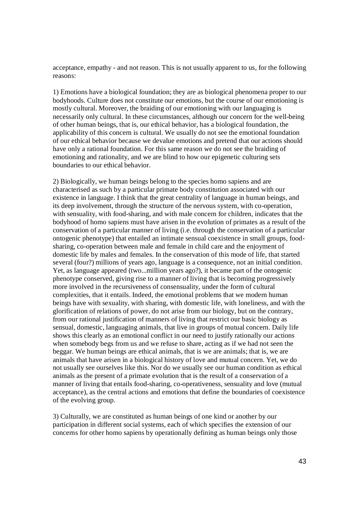acceptance, empathy - and not reason. This is not usually apparent to us, for the following reasons:

1) Emotions have a biological foundation; they are as biological phenomena proper to our bodyhoods. Culture does not constitute our emotions, but the course of our emotioning is mostly cultural. Moreover, the braiding of our emotioning with our languaging is necessarily only cultural. In these circumstances, although our concern for the well-being of other human beings, that is, our ethical behavior, has a biological foundation, the applicability of this concern is cultural. We usually do not see the emotional foundation of our ethical behavior because we devalue emotions and pretend that our actions should have only a rational foundation. For this same reason we do not see the braiding of emotioning and rationality, and we are blind to how our epigenetic culturing sets boundaries to our ethical behavior.

2) Biologically, we human beings belong to the species homo sapiens and are characterised as such by a particular primate body constitution associated with our existence in language. I think that the great centrality of language in human beings, and its deep involvement, through the structure of the nervous system, with co-operation, with sensuality, with food-sharing, and with male concern for children, indicates that the bodyhood of homo sapiens must have arisen in the evolution of primates as a result of the conservation of a particular manner of living (i.e. through the conservation of a particular ontogenic phenotype) that entailed an intimate sensual coexistence in small groups, foodsharing, co-operation between male and female in child care and the enjoyment of domestic life by males and females. In the conservation of this mode of life, that started several (four?) millions of years ago, language is a consequence, not an initial condition. Yet, as language appeared (two...million years ago?), it became part of the ontogenic phenotype conserved, giving rise to a manner of living that is becoming progressively more involved in the recursiveness of consensuality, under the form of cultural complexities, that it entails. Indeed, the emotional problems that we modern human beings have with sexuality, with sharing, with domestic life, with loneliness, and with the glorification of relations of power, do not arise from our biology, but on the contrary, from our rational justification of manners of living that restrict our basic biology as sensual, domestic, languaging animals, that live in groups of mutual concern. Daily life shows this clearly as an emotional conflict in our need to justify rationally our actions when somebody begs from us and we refuse to share, acting as if we had not seen the beggar. We human beings are ethical animals, that is we are animals; that is, we are animals that have arisen in a biological history of love and mutual concern. Yet, we do not usually see ourselves like this. Nor do we usually see our human condition as ethical animals as the present of a primate evolution that is the result of a conservation of a manner of living that entails food-sharing, co-operativeness, sensuality and love (mutual acceptance), as the central actions and emotions that define the boundaries of coexistence of the evolving group.

3) Culturally, we are constituted as human beings of one kind or another by our participation in different social systems, each of which specifies the extension of our concerns for other homo sapiens by operationally defining as human beings only those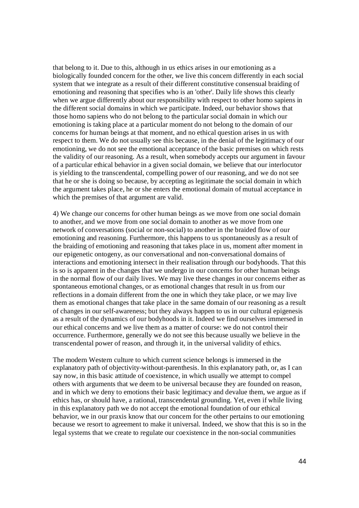that belong to it. Due to this, although in us ethics arises in our emotioning as a biologically founded concern for the other, we live this concern differently in each social system that we integrate as a result of their different constitutive consensual braiding of emotioning and reasoning that specifies who is an 'other'. Daily life shows this clearly when we argue differently about our responsibility with respect to other homo sapiens in the different social domains in which we participate. Indeed, our behavior shows that those homo sapiens who do not belong to the particular social domain in which our emotioning is taking place at a particular moment do not belong to the domain of our concerns for human beings at that moment, and no ethical question arises in us with respect to them. We do not usually see this because, in the denial of the legitimacy of our emotioning, we do not see the emotional acceptance of the basic premises on which rests the validity of our reasoning. As a result, when somebody accepts our argument in favour of a particular ethical behavior in a given social domain, we believe that our interlocutor is yielding to the transcendental, compelling power of our reasoning, and we do not see that he or she is doing so because, by accepting as legitimate the social domain in which the argument takes place, he or she enters the emotional domain of mutual acceptance in which the premises of that argument are valid.

4) We change our concerns for other human beings as we move from one social domain to another, and we move from one social domain to another as we move from one network of conversations (social or non-social) to another in the braided flow of our emotioning and reasoning. Furthermore, this happens to us spontaneously as a result of the braiding of emotioning and reasoning that takes place in us, moment after moment in our epigenetic ontogeny, as our conversational and non-conversational domains of interactions and emotioning intersect in their realisation through our bodyhoods. That this is so is apparent in the changes that we undergo in our concerns for other human beings in the normal flow of our daily lives. We may live these changes in our concerns either as spontaneous emotional changes, or as emotional changes that result in us from our reflections in a domain different from the one in which they take place, or we may live them as emotional changes that take place in the same domain of our reasoning as a result of changes in our self-awareness; but they always happen to us in our cultural epigenesis as a result of the dynamics of our bodyhoods in it. Indeed we find ourselves immersed in our ethical concerns and we live them as a matter of course: we do not control their occurrence. Furthermore, generally we do not see this because usually we believe in the transcendental power of reason, and through it, in the universal validity of ethics.

The modern Western culture to which current science belongs is immersed in the explanatory path of objectivity-without-parenthesis. In this explanatory path, or, as I can say now, in this basic attitude of coexistence, in which usually we attempt to compel others with arguments that we deem to be universal because they are founded on reason, and in which we deny to emotions their basic legitimacy and devalue them, we argue as if ethics has, or should have, a rational, transcendental grounding. Yet, even if while living in this explanatory path we do not accept the emotional foundation of our ethical behavior, we in our praxis know that our concern for the other pertains to our emotioning because we resort to agreement to make it universal. Indeed, we show that this is so in the legal systems that we create to regulate our coexistence in the non-social communities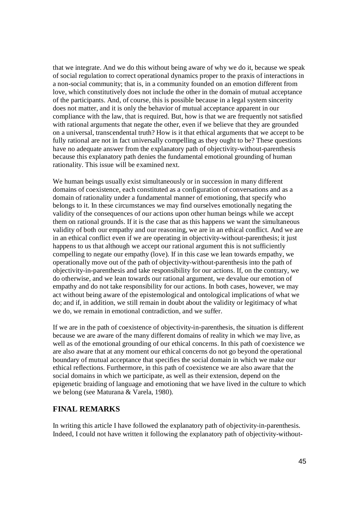that we integrate. And we do this without being aware of why we do it, because we speak of social regulation to correct operational dynamics proper to the praxis of interactions in a non-social community; that is, in a community founded on an emotion different from love, which constitutively does not include the other in the domain of mutual acceptance of the participants. And, of course, this is possible because in a legal system sincerity does not matter, and it is only the behavior of mutual acceptance apparent in our compliance with the law, that is required. But, how is that we are frequently not satisfied with rational arguments that negate the other, even if we believe that they are grounded on a universal, transcendental truth? How is it that ethical arguments that we accept to be fully rational are not in fact universally compelling as they ought to be? These questions have no adequate answer from the explanatory path of objectivity-without-parenthesis because this explanatory path denies the fundamental emotional grounding of human rationality. This issue will be examined next.

We human beings usually exist simultaneously or in succession in many different domains of coexistence, each constituted as a configuration of conversations and as a domain of rationality under a fundamental manner of emotioning, that specify who belongs to it. In these circumstances we may find ourselves emotionally negating the validity of the consequences of our actions upon other human beings while we accept them on rational grounds. If it is the case that as this happens we want the simultaneous validity of both our empathy and our reasoning, we are in an ethical conflict. And we are in an ethical conflict even if we are operating in objectivity-without-parenthesis; it just happens to us that although we accept our rational argument this is not sufficiently compelling to negate our empathy (love). If in this case we lean towards empathy, we operationally move out of the path of objectivity-without-parenthesis into the path of objectivity-in-parenthesis and take responsibility for our actions. If, on the contrary, we do otherwise, and we lean towards our rational argument, we devalue our emotion of empathy and do not take responsibility for our actions. In both cases, however, we may act without being aware of the epistemological and ontological implications of what we do; and if, in addition, we still remain in doubt about the validity or legitimacy of what we do, we remain in emotional contradiction, and we suffer.

If we are in the path of coexistence of objectivity-in-parenthesis, the situation is different because we are aware of the many different domains of reality in which we may live, as well as of the emotional grounding of our ethical concerns. In this path of coexistence we are also aware that at any moment our ethical concerns do not go beyond the operational boundary of mutual acceptance that specifies the social domain in which we make our ethical reflections. Furthermore, in this path of coexistence we are also aware that the social domains in which we participate, as well as their extension, depend on the epigenetic braiding of language and emotioning that we have lived in the culture to which we belong (see Maturana & Varela, 1980).

#### **FINAL REMARKS**

In writing this article I have followed the explanatory path of objectivity-in-parenthesis. Indeed, I could not have written it following the explanatory path of objectivity-without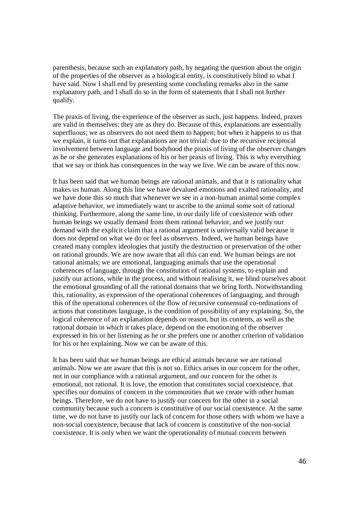parenthesis, because such an explanatory path, by negating the question about the origin of the properties of the observer as a biological entity, is constitutively blind to what I have said. Now I shall end by presenting some concluding remarks also in the same explanatory path, and I shall do so in the form of statements that I shall not further qualify.

The praxis of living, the experience of the observer as such, just happens. Indeed, praxes are valid in themselves; they are as they do. Because of this, explanations are essentially superfluous; we as observers do not need them to happen; but when it happens to us that we explain, it turns out that explanations are not trivial: due to the recursive reciprocal involvement between language and bodyhood the praxis of living of the observer changes as he or she generates explanations of his or her praxis of living. This is why everything that we say or think has consequences in the way we live. We can be aware of this now.

It has been said that we human beings are rational animals, and that it is rationality what makes us human. Along this line we have devalued emotions and exalted rationality, and we have done this so much that whenever we see in a non-human animal some complex adaptive behavior, we immediately want to ascribe to the animal some sort of rational thinking. Furthermore, along the same line, in our daily life of coexistence with other human beings we usually demand from them rational behavior, and we justify our demand with the explicit claim that a rational argument is universally valid because it does not depend on what we do or feel as observers. Indeed, we human beings have created many complex ideologies that justify the destruction or preservation of the other on rational grounds. We are now aware that all this can end. We human beings are not rational animals; we are emotional, languaging animals that use the operational coherences of language, through the constitution of rational systems, to explain and justify our actions, while in the process, and without realising it, we blind ourselves about the emotional grounding of all the rational domains that we bring forth. Notwithstanding this, rationality, as expression of the operational coherences of languaging, and through this of the operational coherences of the flow of recursive consensual co-ordinations of actions that constitutes language, is the condition of possibility of any explaining. So, the logical coherence of an explanation depends on reason, but its contents, as well as the rational domain in which it takes place, depend on the emotioning of the observer expressed in his or her listening as he or she prefers one or another criterion of validation for his or her explaining. Now we can be aware of this.

It has been said that we human beings are ethical animals because we are rational animals. Now we are aware that this is not so. Ethics arises in our concern for the other, not in our compliance with a rational argument, and our concern for the other is emotional, not rational. It is love, the emotion that constitutes social coexistence, that specifies our domains of concern in the communities that we create with other human beings. Therefore, we do not have to justify our concern for the other in a social community because such a concern is constitutive of our social coexistence. At the same time, we do not have to justify our lack of concern for those others with whom we have a non-social coexistence, because that lack of concern is constitutive of the non-social coexistence. It is only when we want the operationality of mutual concern between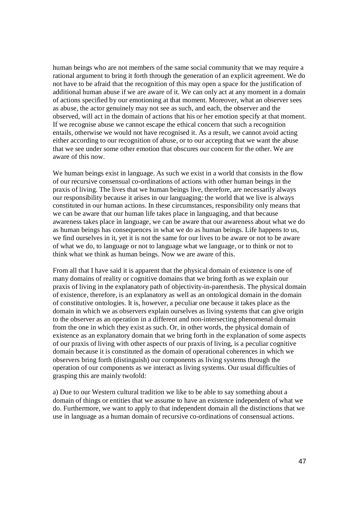human beings who are not members of the same social community that we may require a rational argument to bring it forth through the generation of an explicit agreement. We do not have to be afraid that the recognition of this may open a space for the justification of additional human abuse if we are aware of it. We can only act at any moment in a domain of actions specified by our emotioning at that moment. Moreover, what an observer sees as abuse, the actor genuinely may not see as such, and each, the observer and the observed, will act in the domain of actions that his or her emotion specify at that moment. If we recognise abuse we cannot escape the ethical concern that such a recognition entails, otherwise we would not have recognised it. As a result, we cannot avoid acting either according to our recognition of abuse, or to our accepting that we want the abuse that we see under some other emotion that obscures our concern for the other. We are aware of this now.

We human beings exist in language. As such we exist in a world that consists in the flow of our recursive consensual co-ordinations of actions with other human beings in the praxis of living. The lives that we human beings live, therefore, are necessarily always our responsibility because it arises in our languaging: the world that we live is always constituted in our human actions. In these circumstances, responsibility only means that we can be aware that our human life takes place in languaging, and that because awareness takes place in language, we can be aware that our awareness about what we do as human beings has consequences in what we do as human beings. Life happens to us, we find ourselves in it, yet it is not the same for our lives to be aware or not to be aware of what we do, to language or not to language what we language, or to think or not to think what we think as human beings. Now we are aware of this.

From all that I have said it is apparent that the physical domain of existence is one of many domains of reality or cognitive domains that we bring forth as we explain our praxis of living in the explanatory path of objectivity-in-parenthesis. The physical domain of existence, therefore, is an explanatory as well as an ontological domain in the domain of constitutive ontologies. It is, however, a peculiar one because it takes place as the domain in which we as observers explain ourselves as living systems that can give origin to the observer as an operation in a different and non-intersecting phenomenal domain from the one in which they exist as such. Or, in other words, the physical domain of existence as an explanatory domain that we bring forth in the explanation of some aspects of our praxis of living with other aspects of our praxis of living, is a peculiar cognitive domain because it is constituted as the domain of operational coherences in which we observers bring forth (distinguish) our components as living systems through the operation of our components as we interact as living systems. Our usual difficulties of grasping this are mainly twofold:

a) Due to our Western cultural tradition we like to be able to say something about a domain of things or entities that we assume to have an existence independent of what we do. Furthermore, we want to apply to that independent domain all the distinctions that we use in language as a human domain of recursive co-ordinations of consensual actions.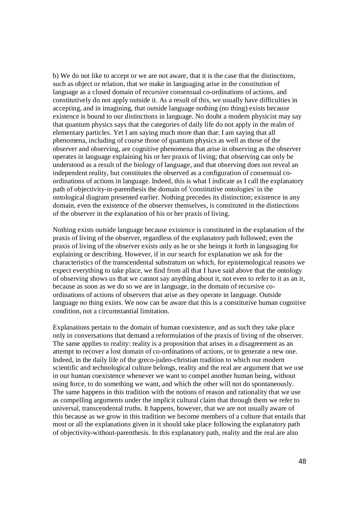b) We do not like to accept or we are not aware, that it is the case that the distinctions, such as object or relation, that we make in languaging arise in the constitution of language as a closed domain of recursive consensual co-ordinations of actions, and constitutively do not apply outside it. As a result of this, we usually have difficulties in accepting, and in imagining, that outside language nothing (no thing) exists because existence is bound to our distinctions in language. No doubt a modern physicist may say that quantum physics says that the categories of daily life do not apply in the realm of elementary particles. Yet I am saying much more than that: I am saying that all phenomena, including of course those of quantum physics as well as those of the observer and observing, are cognitive phenomena that arise in observing as the observer operates in language explaining his or her praxis of living; that observing can only be understood as a result of the biology of language, and that observing does not reveal an independent reality, but constitutes the observed as a configuration of consensual coordinations of actions in language. Indeed, this is what I indicate as I call the explanatory path of objectivity-in-parenthesis the domain of 'constitutive ontologies' in the ontological diagram presented earlier. Nothing precedes its distinction; existence in any domain, even the existence of the observer themselves, is constituted in the distinctions of the observer in the explanation of his or her praxis of living.

Nothing exists outside language because existence is constituted in the explanation of the praxis of living of the observer, regardless of the explanatory path followed; even the praxis of living of the observer exists only as he or she beings it forth in languaging for explaining or describing. However, if in our search for explanation we ask for the characteristics of the transcendental substratum on which, for epistemological reasons we expect everything to take place, we find from all that I have said above that the ontology of observing shows us that we cannot say anything about it, not even to refer to it as an it, because as soon as we do so we are in language, in the domain of recursive coordinations of actions of observers that arise as they operate in language. Outside language no thing exists. We now can be aware that this is a constitutive human cognitive condition, not a circumstantial limitation.

Explanations pertain to the domain of human coexistence, and as such they take place only in conversations that demand a reformulation of the praxis of living of the observer. The same applies to reality: reality is a proposition that arises in a disagreement as an attempt to recover a lost domain of co-ordinations of actions, or to generate a new one. Indeed, in the daily life of the greco-judeo-christian tradition to which our modern scientific and technological culture belongs, reality and the real are argument that we use in our human coexistence whenever we want to compel another human being, without using force, to do something we want, and which the other will not do spontaneously. The same happens in this tradition with the notions of reason and rationality that we use as compelling arguments under the implicit cultural claim that through them we refer to universal, transcendental truths. It happens, however, that we are not usually aware of this because as we grow in this tradition we become members of a culture that entails that most or all the explanations given in it should take place following the explanatory path of objectivity-without-parenthesis. In this explanatory path, reality and the real are also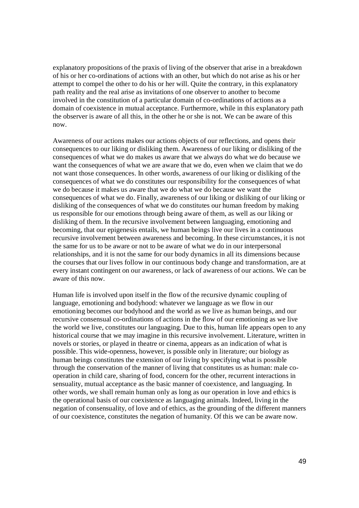explanatory propositions of the praxis of living of the observer that arise in a breakdown of his or her co-ordinations of actions with an other, but which do not arise as his or her attempt to compel the other to do his or her will. Quite the contrary, in this explanatory path reality and the real arise as invitations of one observer to another to become involved in the constitution of a particular domain of co-ordinations of actions as a domain of coexistence in mutual acceptance. Furthermore, while in this explanatory path the observer is aware of all this, in the other he or she is not. We can be aware of this  $n \cap W$ 

Awareness of our actions makes our actions objects of our reflections, and opens their consequences to our liking or disliking them. Awareness of our liking or disliking of the consequences of what we do makes us aware that we always do what we do because we want the consequences of what we are aware that we do, even when we claim that we do not want those consequences. In other words, awareness of our liking or disliking of the consequences of what we do constitutes our responsibility for the consequences of what we do because it makes us aware that we do what we do because we want the consequences of what we do. Finally, awareness of our liking or disliking of our liking or disliking of the consequences of what we do constitutes our human freedom by making us responsible for our emotions through being aware of them, as well as our liking or disliking of them. In the recursive involvement between languaging, emotioning and becoming, that our epigenesis entails, we human beings live our lives in a continuous recursive involvement between awareness and becoming. In these circumstances, it is not the same for us to be aware or not to be aware of what we do in our interpersonal relationships, and it is not the same for our body dynamics in all its dimensions because the courses that our lives follow in our continuous body change and transformation, are at every instant contingent on our awareness, or lack of awareness of our actions. We can be aware of this now.

Human life is involved upon itself in the flow of the recursive dynamic coupling of language, emotioning and bodyhood: whatever we language as we flow in our emotioning becomes our bodyhood and the world as we live as human beings, and our recursive consensual co-ordinations of actions in the flow of our emotioning as we live the world we live, constitutes our languaging. Due to this, human life appears open to any historical course that we may imagine in this recursive involvement. Literature, written in novels or stories, or played in theatre or cinema, appears as an indication of what is possible. This wide-openness, however, is possible only in literature; our biology as human beings constitutes the extension of our living by specifying what is possible through the conservation of the manner of living that constitutes us as human: male cooperation in child care, sharing of food, concern for the other, recurrent interactions in sensuality, mutual acceptance as the basic manner of coexistence, and languaging. In other words, we shall remain human only as long as our operation in love and ethics is the operational basis of our coexistence as languaging animals. Indeed, living in the negation of consensuality, of love and of ethics, as the grounding of the different manners of our coexistence, constitutes the negation of humanity. Of this we can be aware now.